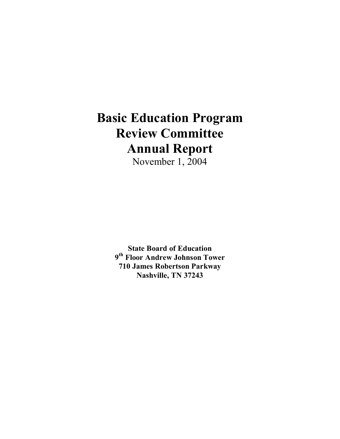### **Basic Education Program Review Committee Annual Report**

November 1, 2004

**State Board of Education 9th Floor Andrew Johnson Tower 710 James Robertson Parkway Nashville, TN 37243**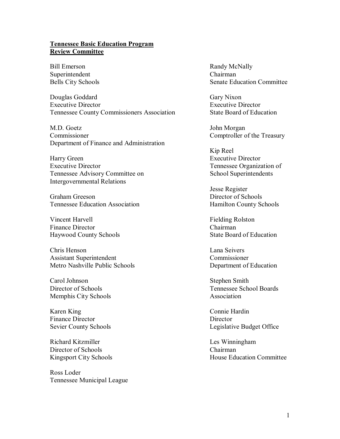#### **Tennessee Basic Education Program Review Committee**

Bill Emerson Randy McNally Superintendent Chairman

Douglas Goddard Gary Nixon Executive Director Executive Director Tennessee County Commissioners Association State Board of Education

M.D. Goetz John Morgan Commissioner Comptroller of the Treasury Department of Finance and Administration

Harry Green Executive Director Executive Director Tennessee Organization of Tennessee Advisory Committee on School Superintendents Intergovernmental Relations

Graham Greeson Director of Schools Tennessee Education Association **Hamilton County Schools** 

Vincent Harvell Fielding Rolston Finance Director Chairman Haywood County Schools State Board of Education

Chris Henson Lana Seivers Assistant Superintendent Commissioner Metro Nashville Public Schools Department of Education

Carol Johnson Stephen Smith Memphis City Schools Association

Karen King Connie Hardin Finance Director Director

Richard Kitzmiller Les Winningham Director of Schools Chairman

Ross Loder Tennessee Municipal League

Bells City Schools Senate Education Committee

Kip Reel

Jesse Register

Director of Schools Tennessee School Boards

Sevier County Schools Legislative Budget Office

Kingsport City Schools House Education Committee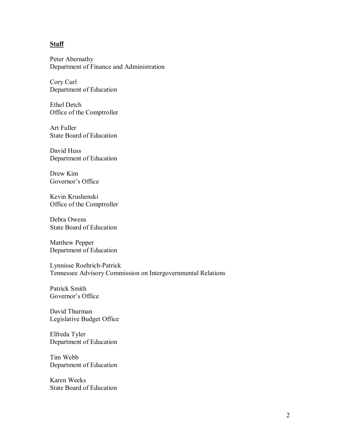#### **Staff**

Peter Abernathy Department of Finance and Administration

Cory Curl Department of Education

Ethel Detch Office of the Comptroller

Art Fuller State Board of Education

David Huss Department of Education

Drew Kim Governor's Office

Kevin Krushenski Office of the Comptroller

Debra Owens State Board of Education

Matthew Pepper Department of Education

Lynnisse Roehrich-Patrick Tennessee Advisory Commission on Intergovernmental Relations

Patrick Smith Governor's Office

David Thurman Legislative Budget Office

Elfreda Tyler Department of Education

Tim Webb Department of Education

Karen Weeks State Board of Education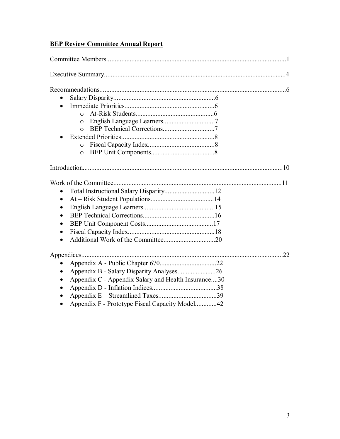#### **BEP Review Committee Annual Report**

| $\Omega$                                            |    |
|-----------------------------------------------------|----|
| $\circ$                                             |    |
| $\Omega$                                            |    |
|                                                     |    |
| $\circ$                                             |    |
| $\circ$                                             |    |
|                                                     |    |
|                                                     |    |
|                                                     |    |
|                                                     |    |
| $\bullet$                                           |    |
|                                                     |    |
|                                                     |    |
|                                                     |    |
|                                                     |    |
|                                                     | 22 |
|                                                     |    |
| Appendix B - Salary Disparity Analyses26            |    |
| Appendix C - Appendix Salary and Health Insurance30 |    |
|                                                     |    |
|                                                     |    |
| Appendix F - Prototype Fiscal Capacity Model42      |    |
|                                                     |    |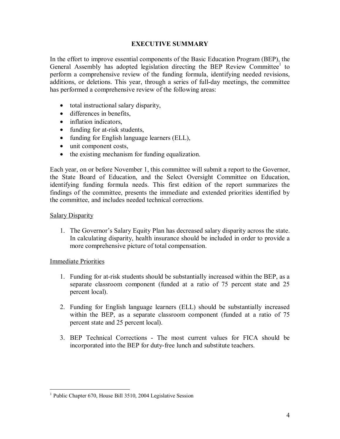#### **EXECUTIVE SUMMARY**

In the effort to improve essential components of the Basic Education Program (BEP), the General Assembly has adopted legislation directing the BEP Review Committee<sup>1</sup> to perform a comprehensive review of the funding formula, identifying needed revisions, additions, or deletions. This year, through a series of full-day meetings, the committee has performed a comprehensive review of the following areas:

- total instructional salary disparity,
- differences in benefits.
- inflation indicators,
- funding for at-risk students,
- funding for English language learners (ELL),
- unit component costs,
- the existing mechanism for funding equalization.

Each year, on or before November 1, this committee will submit a report to the Governor, the State Board of Education, and the Select Oversight Committee on Education, identifying funding formula needs. This first edition of the report summarizes the findings of the committee, presents the immediate and extended priorities identified by the committee, and includes needed technical corrections.

#### Salary Disparity

1. The Governor's Salary Equity Plan has decreased salary disparity across the state. In calculating disparity, health insurance should be included in order to provide a more comprehensive picture of total compensation.

#### Immediate Priorities

- 1. Funding for at-risk students should be substantially increased within the BEP, as a separate classroom component (funded at a ratio of 75 percent state and 25 percent local).
- 2. Funding for English language learners (ELL) should be substantially increased within the BEP, as a separate classroom component (funded at a ratio of 75 percent state and 25 percent local).
- 3. BEP Technical Corrections The most current values for FICA should be incorporated into the BEP for duty-free lunch and substitute teachers.

 1 Public Chapter 670, House Bill 3510, 2004 Legislative Session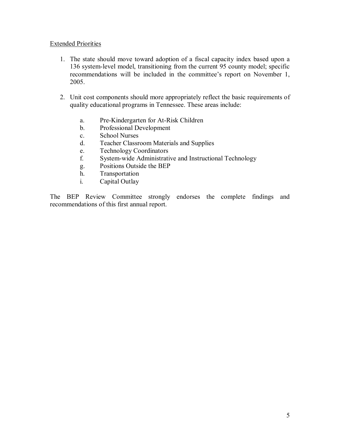#### Extended Priorities

- 1. The state should move toward adoption of a fiscal capacity index based upon a 136 system-level model, transitioning from the current 95 county model; specific recommendations will be included in the committee's report on November 1, 2005.
- 2. Unit cost components should more appropriately reflect the basic requirements of quality educational programs in Tennessee. These areas include:
	- a. Pre-Kindergarten for At-Risk Children
	- b. Professional Development
	- c. School Nurses
	- d. Teacher Classroom Materials and Supplies
	- e. Technology Coordinators
	- f. System-wide Administrative and Instructional Technology
	- g. Positions Outside the BEP
	- h. Transportation
	- i. Capital Outlay

The BEP Review Committee strongly endorses the complete findings and recommendations of this first annual report.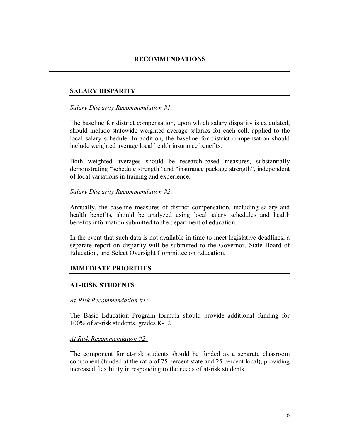#### **RECOMMENDATIONS**

**\_\_\_\_\_\_\_\_\_\_\_\_\_\_\_\_\_\_\_\_\_\_\_\_\_\_\_\_\_\_\_\_\_\_\_\_\_\_\_\_\_\_\_\_\_\_\_\_\_\_\_\_\_\_\_\_\_\_\_\_\_\_\_\_\_\_\_\_\_\_\_\_** 

#### **SALARY DISPARITY**

#### *Salary Disparity Recommendation #1:*

The baseline for district compensation, upon which salary disparity is calculated, should include statewide weighted average salaries for each cell, applied to the local salary schedule. In addition, the baseline for district compensation should include weighted average local health insurance benefits.

Both weighted averages should be research-based measures, substantially demonstrating "schedule strength" and "insurance package strength", independent of local variations in training and experience.

#### *Salary Disparity Recommendation #2:*

Annually, the baseline measures of district compensation, including salary and health benefits, should be analyzed using local salary schedules and health benefits information submitted to the department of education.

In the event that such data is not available in time to meet legislative deadlines, a separate report on disparity will be submitted to the Governor, State Board of Education, and Select Oversight Committee on Education.

#### **IMMEDIATE PRIORITIES**

#### **AT-RISK STUDENTS**

#### *At-Risk Recommendation #1:*

The Basic Education Program formula should provide additional funding for 100% of at-risk students, grades K-12.

#### *At Risk Recommendation #2:*

The component for at-risk students should be funded as a separate classroom component (funded at the ratio of 75 percent state and 25 percent local), providing increased flexibility in responding to the needs of at-risk students.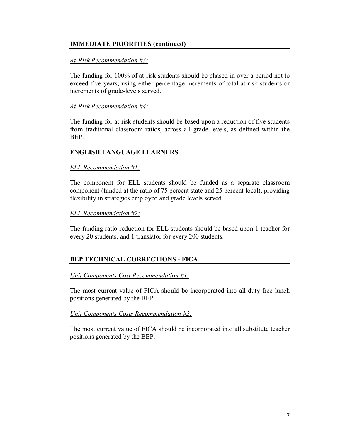#### **IMMEDIATE PRIORITIES (continued)**

#### *At-Risk Recommendation #3:*

The funding for 100% of at-risk students should be phased in over a period not to exceed five years, using either percentage increments of total at-risk students or increments of grade-levels served.

#### *At-Risk Recommendation #4:*

The funding for at-risk students should be based upon a reduction of five students from traditional classroom ratios, across all grade levels, as defined within the BEP.

#### **ENGLISH LANGUAGE LEARNERS**

#### *ELL Recommendation #1:*

The component for ELL students should be funded as a separate classroom component (funded at the ratio of 75 percent state and 25 percent local), providing flexibility in strategies employed and grade levels served.

#### *ELL Recommendation #2:*

The funding ratio reduction for ELL students should be based upon 1 teacher for every 20 students, and 1 translator for every 200 students.

#### **BEP TECHNICAL CORRECTIONS - FICA**

#### *Unit Components Cost Recommendation #1:*

The most current value of FICA should be incorporated into all duty free lunch positions generated by the BEP.

#### *Unit Components Costs Recommendation #2:*

The most current value of FICA should be incorporated into all substitute teacher positions generated by the BEP.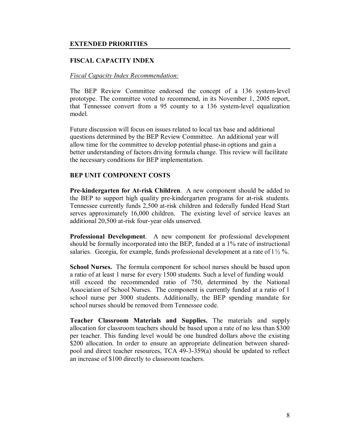#### **EXTENDED PRIORITIES**

#### **FISCAL CAPACITY INDEX**

#### *Fiscal Capacity Index Recommendation:*

The BEP Review Committee endorsed the concept of a 136 system-level prototype. The committee voted to recommend, in its November 1, 2005 report, that Tennessee convert from a 95 county to a 136 system-level equalization model.

Future discussion will focus on issues related to local tax base and additional questions determined by the BEP Review Committee. An additional year will allow time for the committee to develop potential phase-in options and gain a better understanding of factors driving formula change. This review will facilitate the necessary conditions for BEP implementation.

#### **BEP UNIT COMPONENT COSTS**

**Pre-kindergarten for At-risk Children**. A new component should be added to the BEP to support high quality pre-kindergarten programs for at-risk students. Tennessee currently funds 2,500 at-risk children and federally funded Head Start serves approximately 16,000 children. The existing level of service leaves an additional 20,500 at-risk four-year olds unserved.

**Professional Development**. A new component for professional development should be formally incorporated into the BEP, funded at a 1% rate of instructional salaries. Georgia, for example, funds professional development at a rate of  $1\frac{1}{2}\%$ .

**School Nurses.** The formula component for school nurses should be based upon a ratio of at least 1 nurse for every 1500 students. Such a level of funding would still exceed the recommended ratio of 750, determined by the National Association of School Nurses. The component is currently funded at a ratio of 1 school nurse per 3000 students. Additionally, the BEP spending mandate for school nurses should be removed from Tennessee code.

**Teacher Classroom Materials and Supplies.** The materials and supply allocation for classroom teachers should be based upon a rate of no less than \$300 per teacher. This funding level would be one hundred dollars above the existing \$200 allocation. In order to ensure an appropriate delineation between sharedpool and direct teacher resources, TCA 49-3-359(a) should be updated to reflect an increase of \$100 directly to classroom teachers.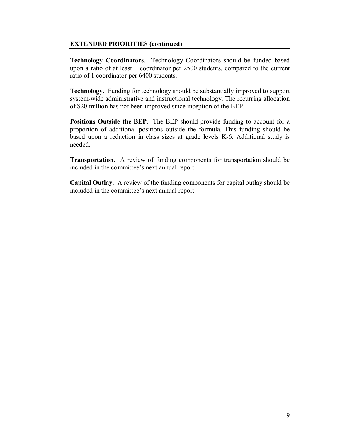#### **EXTENDED PRIORITIES (continued)**

**Technology Coordinators**. Technology Coordinators should be funded based upon a ratio of at least 1 coordinator per 2500 students, compared to the current ratio of 1 coordinator per 6400 students.

**Technology.** Funding for technology should be substantially improved to support system-wide administrative and instructional technology. The recurring allocation of \$20 million has not been improved since inception of the BEP.

**Positions Outside the BEP**. The BEP should provide funding to account for a proportion of additional positions outside the formula. This funding should be based upon a reduction in class sizes at grade levels K-6. Additional study is needed.

**Transportation.** A review of funding components for transportation should be included in the committee's next annual report.

**Capital Outlay.** A review of the funding components for capital outlay should be included in the committee's next annual report.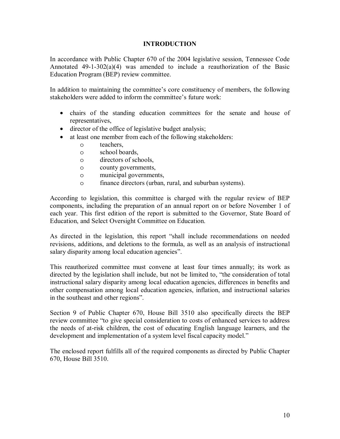#### **INTRODUCTION**

In accordance with Public Chapter 670 of the 2004 legislative session, Tennessee Code Annotated  $49-1-302(a)(4)$  was amended to include a reauthorization of the Basic Education Program (BEP) review committee.

In addition to maintaining the committee's core constituency of members, the following stakeholders were added to inform the committee's future work:

- chairs of the standing education committees for the senate and house of representatives,
- director of the office of legislative budget analysis;
- at least one member from each of the following stakeholders:
	- o teachers,
	- o school boards,
	- o directors of schools,
	- o county governments,
	- o municipal governments,
	- o finance directors (urban, rural, and suburban systems).

According to legislation, this committee is charged with the regular review of BEP components, including the preparation of an annual report on or before November 1 of each year. This first edition of the report is submitted to the Governor, State Board of Education, and Select Oversight Committee on Education.

As directed in the legislation, this report "shall include recommendations on needed revisions, additions, and deletions to the formula, as well as an analysis of instructional salary disparity among local education agencies".

This reauthorized committee must convene at least four times annually; its work as directed by the legislation shall include, but not be limited to, "the consideration of total instructional salary disparity among local education agencies, differences in benefits and other compensation among local education agencies, inflation, and instructional salaries in the southeast and other regions".

Section 9 of Public Chapter 670, House Bill 3510 also specifically directs the BEP review committee "to give special consideration to costs of enhanced services to address the needs of at-risk children, the cost of educating English language learners, and the development and implementation of a system level fiscal capacity model."

The enclosed report fulfills all of the required components as directed by Public Chapter 670, House Bill 3510.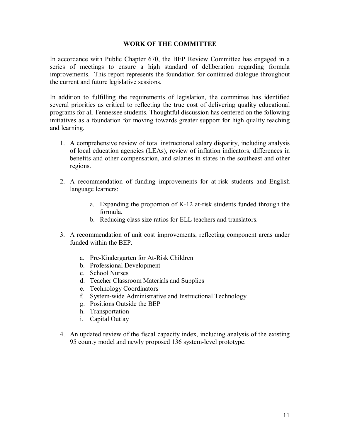#### **WORK OF THE COMMITTEE**

In accordance with Public Chapter 670, the BEP Review Committee has engaged in a series of meetings to ensure a high standard of deliberation regarding formula improvements. This report represents the foundation for continued dialogue throughout the current and future legislative sessions.

In addition to fulfilling the requirements of legislation, the committee has identified several priorities as critical to reflecting the true cost of delivering quality educational programs for all Tennessee students. Thoughtful discussion has centered on the following initiatives as a foundation for moving towards greater support for high quality teaching and learning.

- 1. A comprehensive review of total instructional salary disparity, including analysis of local education agencies (LEAs), review of inflation indicators, differences in benefits and other compensation, and salaries in states in the southeast and other regions.
- 2. A recommendation of funding improvements for at-risk students and English language learners:
	- a. Expanding the proportion of K-12 at-risk students funded through the formula.
	- b. Reducing class size ratios for ELL teachers and translators.
- 3. A recommendation of unit cost improvements, reflecting component areas under funded within the BEP.
	- a. Pre-Kindergarten for At-Risk Children
	- b. Professional Development
	- c. School Nurses
	- d. Teacher Classroom Materials and Supplies
	- e. Technology Coordinators
	- f. System-wide Administrative and Instructional Technology
	- g. Positions Outside the BEP
	- h. Transportation
	- i. Capital Outlay
- 4. An updated review of the fiscal capacity index, including analysis of the existing 95 county model and newly proposed 136 system-level prototype.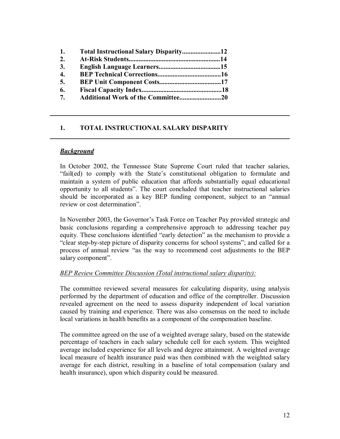| 1.               | Total Instructional Salary Disparity12 |  |
|------------------|----------------------------------------|--|
| 2.               |                                        |  |
| 3.               |                                        |  |
| $\overline{4}$ . |                                        |  |
| 5.               |                                        |  |
| 6.               |                                        |  |
| 7.               |                                        |  |

#### **1. TOTAL INSTRUCTIONAL SALARY DISPARITY**

#### *Background*

In October 2002, the Tennessee State Supreme Court ruled that teacher salaries, "fail(ed) to comply with the State's constitutional obligation to formulate and maintain a system of public education that affords substantially equal educational opportunity to all students". The court concluded that teacher instructional salaries should be incorporated as a key BEP funding component, subject to an "annual review or cost determination".

 $\mathcal{L}_\text{max} = \mathcal{L}_\text{max} = \mathcal{L}_\text{max} = \mathcal{L}_\text{max} = \mathcal{L}_\text{max} = \mathcal{L}_\text{max} = \mathcal{L}_\text{max} = \mathcal{L}_\text{max} = \mathcal{L}_\text{max} = \mathcal{L}_\text{max} = \mathcal{L}_\text{max} = \mathcal{L}_\text{max} = \mathcal{L}_\text{max} = \mathcal{L}_\text{max} = \mathcal{L}_\text{max} = \mathcal{L}_\text{max} = \mathcal{L}_\text{max} = \mathcal{L}_\text{max} = \mathcal{$ 

\_\_\_\_\_\_\_\_\_\_\_\_\_\_\_\_\_\_\_\_\_\_\_\_\_\_\_\_\_\_\_\_\_\_\_\_\_\_\_\_\_\_\_\_\_\_\_\_\_\_\_\_\_\_\_\_\_\_\_\_\_\_\_\_\_\_\_\_\_\_\_\_

In November 2003, the Governor's Task Force on Teacher Pay provided strategic and basic conclusions regarding a comprehensive approach to addressing teacher pay equity. These conclusions identified "early detection" as the mechanism to provide a "clear step-by-step picture of disparity concerns for school systems"; and called for a process of annual review "as the way to recommend cost adjustments to the BEP salary component".

#### *BEP Review Committee Discussion (Total instructional salary disparity):*

The committee reviewed several measures for calculating disparity, using analysis performed by the department of education and office of the comptroller. Discussion revealed agreement on the need to assess disparity independent of local variation caused by training and experience. There was also consensus on the need to include local variations in health benefits as a component of the compensation baseline.

The committee agreed on the use of a weighted average salary, based on the statewide percentage of teachers in each salary schedule cell for each system. This weighted average included experience for all levels and degree attainment. A weighted average local measure of health insurance paid was then combined with the weighted salary average for each district, resulting in a baseline of total compensation (salary and health insurance), upon which disparity could be measured.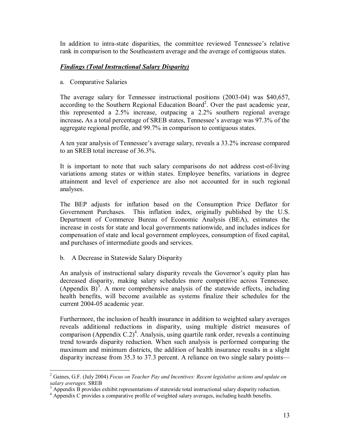In addition to intra-state disparities, the committee reviewed Tennessee's relative rank in comparison to the Southeastern average and the average of contiguous states.

#### *Findings (Total Instructional Salary Disparity)*

a. Comparative Salaries

The average salary for Tennessee instructional positions (2003-04) was \$40,657, according to the Southern Regional Education Board<sup>2</sup>. Over the past academic year, this represented a 2.5% increase, outpacing a 2.2% southern regional average increase**.** As a total percentage of SREB states, Tennessee's average was 97.3% of the aggregate regional profile, and 99.7% in comparison to contiguous states.

A ten year analysis of Tennessee's average salary, reveals a 33.2% increase compared to an SREB total increase of 36.3%.

It is important to note that such salary comparisons do not address cost-of-living variations among states or within states. Employee benefits, variations in degree attainment and level of experience are also not accounted for in such regional analyses.

The BEP adjusts for inflation based on the Consumption Price Deflator for Government Purchases. This inflation index, originally published by the U.S. Department of Commerce Bureau of Economic Analysis (BEA), estimates the increase in costs for state and local governments nationwide, and includes indices for compensation of state and local government employees, consumption of fixed capital, and purchases of intermediate goods and services.

b. A Decrease in Statewide Salary Disparity

An analysis of instructional salary disparity reveals the Governor's equity plan has decreased disparity, making salary schedules more competitive across Tennessee. (Appendix B)<sup>3</sup>. A more comprehensive analysis of the statewide effects, including health benefits, will become available as systems finalize their schedules for the current 2004-05 academic year.

Furthermore, the inclusion of health insurance in addition to weighted salary averages reveals additional reductions in disparity, using multiple district measures of comparison (Appendix C.2)<sup>4</sup>. Analysis, using quartile rank order, reveals a continuing trend towards disparity reduction. When such analysis is performed comparing the maximum and minimum districts, the addition of health insurance results in a slight disparity increase from 35.3 to 37.3 percent. A reliance on two single salary points—

 2 Gaines, G.F. (July 2004) *Focus on Teacher Pay and Incentives: Recent legislative actions and update on*  salary averages. SREB<br><sup>3</sup> Appendix B provides exhibit representations of statewide total instructional salary disparity reduction.

<sup>&</sup>lt;sup>4</sup> Appendix C provides a comparative profile of weighted salary averages, including health benefits.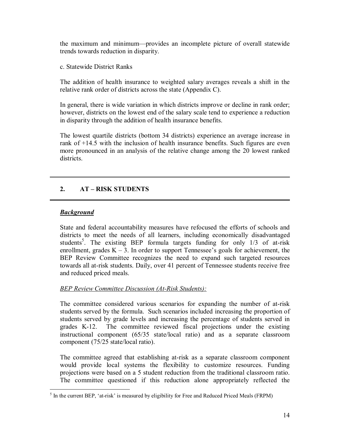the maximum and minimum—provides an incomplete picture of overall statewide trends towards reduction in disparity.

c. Statewide District Ranks

The addition of health insurance to weighted salary averages reveals a shift in the relative rank order of districts across the state (Appendix C).

In general, there is wide variation in which districts improve or decline in rank order; however, districts on the lowest end of the salary scale tend to experience a reduction in disparity through the addition of health insurance benefits.

The lowest quartile districts (bottom 34 districts) experience an average increase in rank of +14.5 with the inclusion of health insurance benefits. Such figures are even more pronounced in an analysis of the relative change among the 20 lowest ranked districts.

**\_\_\_\_\_\_\_\_\_\_\_\_\_\_\_\_\_\_\_\_\_\_\_\_\_\_\_\_\_\_\_\_\_\_\_\_\_\_\_\_\_\_\_\_\_\_\_\_\_\_\_\_\_\_\_\_\_\_\_\_\_\_\_\_\_\_\_\_\_\_\_\_**

**\_\_\_\_\_\_\_\_\_\_\_\_\_\_\_\_\_\_\_\_\_\_\_\_\_\_\_\_\_\_\_\_\_\_\_\_\_\_\_\_\_\_\_\_\_\_\_\_\_\_\_\_\_\_\_\_\_\_\_\_\_\_\_\_\_\_\_\_\_\_\_\_**

#### **2. AT – RISK STUDENTS**

#### *Background*

State and federal accountability measures have refocused the efforts of schools and districts to meet the needs of all learners, including economically disadvantaged students<sup>5</sup>. The existing BEP formula targets funding for only 1/3 of at-risk enrollment, grades  $K - 3$ . In order to support Tennessee's goals for achievement, the BEP Review Committee recognizes the need to expand such targeted resources towards all at-risk students. Daily, over 41 percent of Tennessee students receive free and reduced priced meals.

#### *BEP Review Committee Discussion (At-Risk Students):*

The committee considered various scenarios for expanding the number of at-risk students served by the formula. Such scenarios included increasing the proportion of students served by grade levels and increasing the percentage of students served in grades K-12. The committee reviewed fiscal projections under the existing instructional component (65/35 state/local ratio) and as a separate classroom component (75/25 state/local ratio).

The committee agreed that establishing at-risk as a separate classroom component would provide local systems the flexibility to customize resources. Funding projections were based on a 5 student reduction from the traditional classroom ratio. The committee questioned if this reduction alone appropriately reflected the

<sup>&</sup>lt;sup>5</sup> In the current BEP, 'at-risk' is measured by eligibility for Free and Reduced Priced Meals (FRPM)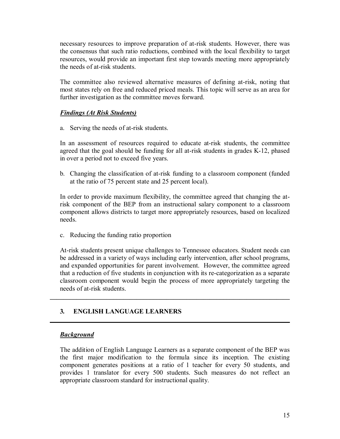necessary resources to improve preparation of at-risk students. However, there was the consensus that such ratio reductions, combined with the local flexibility to target resources, would provide an important first step towards meeting more appropriately the needs of at-risk students.

The committee also reviewed alternative measures of defining at-risk, noting that most states rely on free and reduced priced meals. This topic will serve as an area for further investigation as the committee moves forward.

#### *Findings (At Risk Students)*

a. Serving the needs of at-risk students.

In an assessment of resources required to educate at-risk students, the committee agreed that the goal should be funding for all at-risk students in grades K-12, phased in over a period not to exceed five years.

b. Changing the classification of at-risk funding to a classroom component (funded at the ratio of 75 percent state and 25 percent local).

In order to provide maximum flexibility, the committee agreed that changing the atrisk component of the BEP from an instructional salary component to a classroom component allows districts to target more appropriately resources, based on localized needs.

c. Reducing the funding ratio proportion

At-risk students present unique challenges to Tennessee educators. Student needs can be addressed in a variety of ways including early intervention, after school programs, and expanded opportunities for parent involvement. However, the committee agreed that a reduction of five students in conjunction with its re-categorization as a separate classroom component would begin the process of more appropriately targeting the needs of at-risk students.

 $\mathcal{L}_\mathcal{L} = \{ \mathcal{L}_\mathcal{L} = \{ \mathcal{L}_\mathcal{L} = \{ \mathcal{L}_\mathcal{L} = \{ \mathcal{L}_\mathcal{L} = \{ \mathcal{L}_\mathcal{L} = \{ \mathcal{L}_\mathcal{L} = \{ \mathcal{L}_\mathcal{L} = \{ \mathcal{L}_\mathcal{L} = \{ \mathcal{L}_\mathcal{L} = \{ \mathcal{L}_\mathcal{L} = \{ \mathcal{L}_\mathcal{L} = \{ \mathcal{L}_\mathcal{L} = \{ \mathcal{L}_\mathcal{L} = \{ \mathcal{L}_\mathcal{$ 

**\_\_\_\_\_\_\_\_\_\_\_\_\_\_\_\_\_\_\_\_\_\_\_\_\_\_\_\_\_\_\_\_\_\_\_\_\_\_\_\_\_\_\_\_\_\_\_\_\_\_\_\_\_\_\_\_\_\_\_\_\_\_\_\_\_\_\_\_\_\_\_\_**

#### **3***.* **ENGLISH LANGUAGE LEARNERS**

#### *Background*

The addition of English Language Learners as a separate component of the BEP was the first major modification to the formula since its inception. The existing component generates positions at a ratio of 1 teacher for every 50 students, and provides 1 translator for every 500 students. Such measures do not reflect an appropriate classroom standard for instructional quality.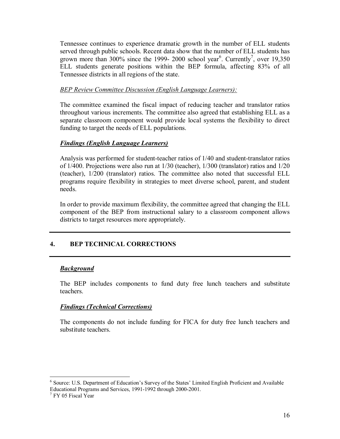Tennessee continues to experience dramatic growth in the number of ELL students served through public schools. Recent data show that the number of ELL students has grown more than 300% since the 1999- 2000 school year<sup>6</sup>. Currently<sup>7</sup>, over 19,350 ELL students generate positions within the BEP formula, affecting 83% of all Tennessee districts in all regions of the state.

#### *BEP Review Committee Discussion (English Language Learners):*

The committee examined the fiscal impact of reducing teacher and translator ratios throughout various increments. The committee also agreed that establishing ELL as a separate classroom component would provide local systems the flexibility to direct funding to target the needs of ELL populations.

#### *Findings (English Language Learners)*

Analysis was performed for student-teacher ratios of 1/40 and student-translator ratios of 1/400. Projections were also run at 1/30 (teacher), 1/300 (translator) ratios and 1/20 (teacher), 1/200 (translator) ratios. The committee also noted that successful ELL programs require flexibility in strategies to meet diverse school, parent, and student needs.

In order to provide maximum flexibility, the committee agreed that changing the ELL component of the BEP from instructional salary to a classroom component allows districts to target resources more appropriately.

#### **4. BEP TECHNICAL CORRECTIONS**

#### *Background*

The BEP includes components to fund duty free lunch teachers and substitute teachers.

#### *Findings (Technical Corrections)*

The components do not include funding for FICA for duty free lunch teachers and substitute teachers.

<u>.</u>

<sup>&</sup>lt;sup>6</sup> Source: U.S. Department of Education's Survey of the States' Limited English Proficient and Available Educational Programs and Services, 1991-1992 through 2000-2001.

<sup>&</sup>lt;sup>7</sup> FY 05 Fiscal Year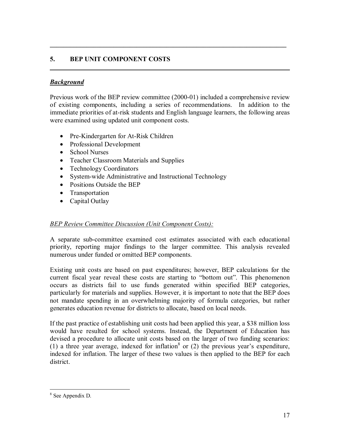#### **5. BEP UNIT COMPONENT COSTS**

#### *Background*

Previous work of the BEP review committee (2000-01) included a comprehensive review of existing components, including a series of recommendations. In addition to the immediate priorities of at-risk students and English language learners, the following areas were examined using updated unit component costs.

 $\mathcal{L} = \{ \mathcal{L} = \{ \mathcal{L} \mid \mathcal{L} = \{ \mathcal{L} \mid \mathcal{L} = \{ \mathcal{L} \mid \mathcal{L} = \{ \mathcal{L} \mid \mathcal{L} = \{ \mathcal{L} \mid \mathcal{L} = \{ \mathcal{L} \mid \mathcal{L} = \{ \mathcal{L} \mid \mathcal{L} = \{ \mathcal{L} \mid \mathcal{L} = \{ \mathcal{L} \mid \mathcal{L} = \{ \mathcal{L} \mid \mathcal{L} = \{ \mathcal{L} \mid \mathcal{L} = \{ \mathcal{L} \mid \mathcal{L} =$ 

**\_\_\_\_\_\_\_\_\_\_\_\_\_\_\_\_\_\_\_\_\_\_\_\_\_\_\_\_\_\_\_\_\_\_\_\_\_\_\_\_\_\_\_\_\_\_\_\_\_\_\_\_\_\_\_\_\_\_\_\_\_\_\_\_\_\_\_\_\_\_\_\_**

- Pre-Kindergarten for At-Risk Children
- Professional Development
- School Nurses
- Teacher Classroom Materials and Supplies
- Technology Coordinators
- System-wide Administrative and Instructional Technology
- Positions Outside the BEP
- Transportation
- Capital Outlay

#### *BEP Review Committee Discussion (Unit Component Costs):*

A separate sub-committee examined cost estimates associated with each educational priority, reporting major findings to the larger committee. This analysis revealed numerous under funded or omitted BEP components.

Existing unit costs are based on past expenditures; however, BEP calculations for the current fiscal year reveal these costs are starting to "bottom out". This phenomenon occurs as districts fail to use funds generated within specified BEP categories, particularly for materials and supplies. However, it is important to note that the BEP does not mandate spending in an overwhelming majority of formula categories, but rather generates education revenue for districts to allocate, based on local needs.

If the past practice of establishing unit costs had been applied this year, a \$38 million loss would have resulted for school systems. Instead, the Department of Education has devised a procedure to allocate unit costs based on the larger of two funding scenarios: (1) a three year average, indexed for inflation<sup>8</sup> or (2) the previous year's expenditure, indexed for inflation. The larger of these two values is then applied to the BEP for each district.

<sup>8</sup> See Appendix D.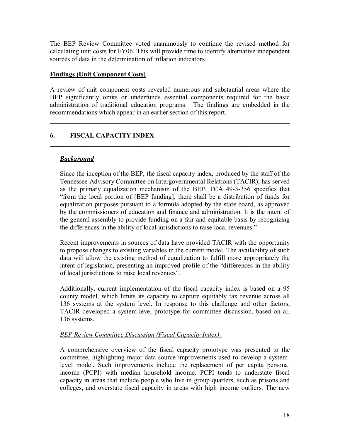The BEP Review Committee voted unanimously to continue the revised method for calculating unit costs for FY06. This will provide time to identify alternative independent sources of data in the determination of inflation indicators.

#### **Findings (Unit Component Costs)**

A review of unit component costs revealed numerous and substantial areas where the BEP significantly omits or underfunds essential components required for the basic administration of traditional education programs. The findings are embedded in the recommendations which appear in an earlier section of this report.

**\_\_\_\_\_\_\_\_\_\_\_\_\_\_\_\_\_\_\_\_\_\_\_\_\_\_\_\_\_\_\_\_\_\_\_\_\_\_\_\_\_\_\_\_\_\_\_\_\_\_\_\_\_\_\_\_\_\_\_\_\_\_\_\_\_\_\_\_\_\_\_\_** 

#### **6. FISCAL CAPACITY INDEX**   $\mathcal{L}_\mathcal{L} = \{ \mathcal{L}_\mathcal{L} = \{ \mathcal{L}_\mathcal{L} = \{ \mathcal{L}_\mathcal{L} = \{ \mathcal{L}_\mathcal{L} = \{ \mathcal{L}_\mathcal{L} = \{ \mathcal{L}_\mathcal{L} = \{ \mathcal{L}_\mathcal{L} = \{ \mathcal{L}_\mathcal{L} = \{ \mathcal{L}_\mathcal{L} = \{ \mathcal{L}_\mathcal{L} = \{ \mathcal{L}_\mathcal{L} = \{ \mathcal{L}_\mathcal{L} = \{ \mathcal{L}_\mathcal{L} = \{ \mathcal{L}_\mathcal{$

#### *Background*

Since the inception of the BEP, the fiscal capacity index, produced by the staff of the Tennessee Advisory Committee on Intergovernmental Relations (TACIR), has served as the primary equalization mechanism of the BEP. TCA 49-3-356 specifies that "from the local portion of [BEP funding], there shall be a distribution of funds for equalization purposes pursuant to a formula adopted by the state board, as approved by the commissioners of education and finance and administration. It is the intent of the general assembly to provide funding on a fair and equitable basis by recognizing the differences in the ability of local jurisdictions to raise local revenues."

Recent improvements in sources of data have provided TACIR with the opportunity to propose changes to existing variables in the current model. The availability of such data will allow the existing method of equalization to fulfill more appropriately the intent of legislation, presenting an improved profile of the "differences in the ability of local jurisdictions to raise local revenues".

Additionally, current implementation of the fiscal capacity index is based on a 95 county model, which limits its capacity to capture equitably tax revenue across all 136 systems at the system level. In response to this challenge and other factors, TACIR developed a system-level prototype for committee discussion, based on all 136 systems.

#### *BEP Review Committee Discussion (Fiscal Capacity Index):*

A comprehensive overview of the fiscal capacity prototype was presented to the committee, highlighting major data source improvements used to develop a systemlevel model. Such improvements include the replacement of per capita personal income (PCPI) with median household income. PCPI tends to understate fiscal capacity in areas that include people who live in group quarters, such as prisons and colleges, and overstate fiscal capacity in areas with high income outliers. The new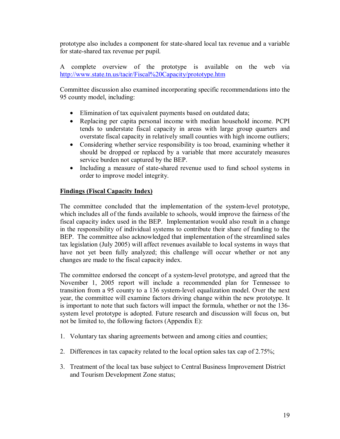prototype also includes a component for state-shared local tax revenue and a variable for state-shared tax revenue per pupil.

A complete overview of the prototype is available on the web via http://www.state.tn.us/tacir/Fiscal%20Capacity/prototype.htm

Committee discussion also examined incorporating specific recommendations into the 95 county model, including:

- Elimination of tax equivalent payments based on outdated data;
- Replacing per capita personal income with median household income. PCPI tends to understate fiscal capacity in areas with large group quarters and overstate fiscal capacity in relatively small counties with high income outliers;
- Considering whether service responsibility is too broad, examining whether it should be dropped or replaced by a variable that more accurately measures service burden not captured by the BEP.
- Including a measure of state-shared revenue used to fund school systems in order to improve model integrity.

#### **Findings (Fiscal Capacity Index)**

The committee concluded that the implementation of the system-level prototype, which includes all of the funds available to schools, would improve the fairness of the fiscal capacity index used in the BEP. Implementation would also result in a change in the responsibility of individual systems to contribute their share of funding to the BEP. The committee also acknowledged that implementation of the streamlined sales tax legislation (July 2005) will affect revenues available to local systems in ways that have not yet been fully analyzed; this challenge will occur whether or not any changes are made to the fiscal capacity index.

The committee endorsed the concept of a system-level prototype, and agreed that the November 1, 2005 report will include a recommended plan for Tennessee to transition from a 95 county to a 136 system-level equalization model. Over the next year, the committee will examine factors driving change within the new prototype. It is important to note that such factors will impact the formula, whether or not the 136 system level prototype is adopted. Future research and discussion will focus on, but not be limited to, the following factors (Appendix E):

- 1. Voluntary tax sharing agreements between and among cities and counties;
- 2. Differences in tax capacity related to the local option sales tax cap of 2.75%;
- 3. Treatment of the local tax base subject to Central Business Improvement District and Tourism Development Zone status;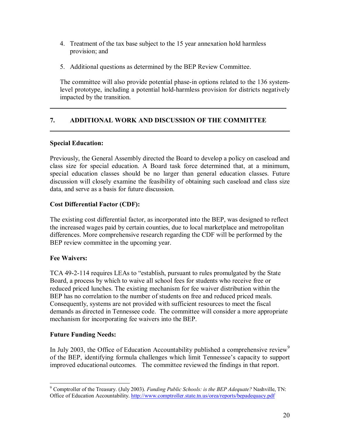- 4. Treatment of the tax base subject to the 15 year annexation hold harmless provision; and
- 5. Additional questions as determined by the BEP Review Committee.

The committee will also provide potential phase-in options related to the 136 systemlevel prototype, including a potential hold-harmless provision for districts negatively impacted by the transition.

 $\mathcal{L}_\mathcal{L} = \mathcal{L}_\mathcal{L} = \mathcal{L}_\mathcal{L} = \mathcal{L}_\mathcal{L} = \mathcal{L}_\mathcal{L} = \mathcal{L}_\mathcal{L} = \mathcal{L}_\mathcal{L} = \mathcal{L}_\mathcal{L} = \mathcal{L}_\mathcal{L} = \mathcal{L}_\mathcal{L} = \mathcal{L}_\mathcal{L} = \mathcal{L}_\mathcal{L} = \mathcal{L}_\mathcal{L} = \mathcal{L}_\mathcal{L} = \mathcal{L}_\mathcal{L} = \mathcal{L}_\mathcal{L} = \mathcal{L}_\mathcal{L}$ 

**\_\_\_\_\_\_\_\_\_\_\_\_\_\_\_\_\_\_\_\_\_\_\_\_\_\_\_\_\_\_\_\_\_\_\_\_\_\_\_\_\_\_\_\_\_\_\_\_\_\_\_\_\_\_\_\_\_\_\_\_\_\_\_\_\_\_\_\_\_\_\_\_**

#### **7. ADDITIONAL WORK AND DISCUSSION OF THE COMMITTEE**

#### **Special Education:**

Previously, the General Assembly directed the Board to develop a policy on caseload and class size for special education. A Board task force determined that, at a minimum, special education classes should be no larger than general education classes. Future discussion will closely examine the feasibility of obtaining such caseload and class size data, and serve as a basis for future discussion.

#### **Cost Differential Factor (CDF):**

The existing cost differential factor, as incorporated into the BEP, was designed to reflect the increased wages paid by certain counties, due to local marketplace and metropolitan differences. More comprehensive research regarding the CDF will be performed by the BEP review committee in the upcoming year.

#### **Fee Waivers:**

TCA 49-2-114 requires LEAs to "establish, pursuant to rules promulgated by the State Board, a process by which to waive all school fees for students who receive free or reduced priced lunches. The existing mechanism for fee waiver distribution within the BEP has no correlation to the number of students on free and reduced priced meals. Consequently, systems are not provided with sufficient resources to meet the fiscal demands as directed in Tennessee code. The committee will consider a more appropriate mechanism for incorporating fee waivers into the BEP.

#### **Future Funding Needs:**

In July 2003, the Office of Education Accountability published a comprehensive review<sup>9</sup> of the BEP, identifying formula challenges which limit Tennessee's capacity to support improved educational outcomes. The committee reviewed the findings in that report.

<sup>&</sup>lt;u>.</u> 9 Comptroller of the Treasury. (July 2003). *Funding Public Schools: is the BEP Adequate?* Nashville, TN: Office of Education Accountability. http://www.comptroller.state.tn.us/orea/reports/bepadequacy.pdf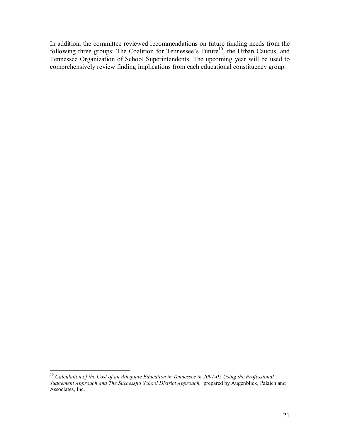In addition, the committee reviewed recommendations on future funding needs from the following three groups: The Coalition for Tennessee's Future<sup>10</sup>, the Urban Caucus, and Tennessee Organization of School Superintendents. The upcoming year will be used to comprehensively review finding implications from each educational constituency group.

 $\overline{a}$ <sup>10</sup> Calculation of the Cost of an Adequate Education in Tennessee in 2001-02 Using the Professional *Judgement Approach and The Successful School District Approach*, prepared by Augenblick, Palaich and Associates, Inc.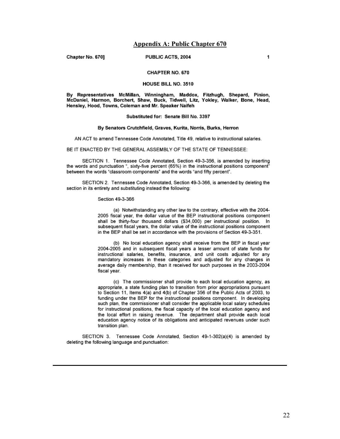#### **Appendix A: Public Chapter 670**

Chapter No. 670]

PUBLIC ACTS, 2004

#### CHAPTER NO. 670

#### HOUSE BILL NO. 3510

By Representatives McMillan, Winningham, Maddox, Fitzhugh, Shepard, Pinion, McDaniel, Harmon, Borchert, Shaw, Buck, Tidwell, Litz, Yokley, Walker, Bone, Head, Hensley, Hood, Towns, Coleman and Mr. Speaker Naifeh

#### Substituted for: Senate Bill No. 3397

#### By Senators Crutchfield, Graves, Kurita, Norris, Burks, Herron

AN ACT to amend Tennessee Code Annotated, Title 49, relative to instructional salaries.

BE IT ENACTED BY THE GENERAL ASSEMBLY OF THE STATE OF TENNESSEE:

SECTION 1. Tennessee Code Annotated, Section 49-3-356, is amended by inserting the words and punctuation ", sixty-five percent (65%) in the instructional positions component" between the words "classroom components" and the words "and fifty percent".

SECTION 2. Tennessee Code Annotated, Section 49-3-366, is amended by deleting the section in its entirety and substituting instead the following:

#### Section 49-3-366

(a) Notwithstanding any other law to the contrary, effective with the 2004-2005 fiscal year, the dollar value of the BEP instructional positions component shall be thirty-four thousand dollars (\$34,000) per instructional position. In subsequent fiscal years, the dollar value of the instructional positions component in the BEP shall be set in accordance with the provisions of Section 49-3-351.

(b) No local education agency shall receive from the BEP in fiscal year 2004-2005 and in subsequent fiscal years a lesser amount of state funds for instructional salaries, benefits, insurance, and unit costs adjusted for any mandatory increases in these categories and adjusted for any changes in average daily membership, than it received for such purposes in the 2003-2004 fiscal year.

(c) The commissioner shall provide to each local education agency, as appropriate, a state funding plan to transition from prior appropriations pursuant to Section 11, Items 4(a) and 4(b) of Chapter 356 of the Public Acts of 2003, to funding under the BEP for the instructional positions component. In developing such plan, the commissioner shall consider the applicable local salary schedules for instructional positions, the fiscal capacity of the local education agency and the local effort in raising revenue. The department shall provide each local education agency notice of its obligations and anticipated revenues under such transition plan.

SECTION 3. Tennessee Code Annotated, Section 49-1-302(a)(4) is amended by deleting the following language and punctuation: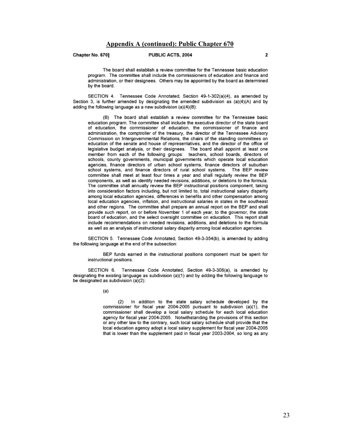Chapter No. 670]

#### PUBLIC ACTS, 2004

The board shall establish a review committee for the Tennessee basic education program. The committee shall include the commissioners of education and finance and administration, or their designees. Others may be appointed by the board as determined by the board.

SECTION 4. Tennessee Code Annotated, Section 49-1-302(a)(4), as amended by Section 3, is further amended by designating the amended subdivision as (a)(4)(A) and by adding the following language as a new subdivision (a)(4)(B):

(B) The board shall establish a review committee for the Tennessee basic education program. The committee shall include the executive director of the state board of education, the commissioner of education, the commissioner of finance and administration, the comptroller of the treasury, the director of the Tennessee Advisory Commission on Intergovernmental Relations, the chairs of the standing committees on education of the senate and house of representatives, and the director of the office of legislative budget analysis, or their designees. The board shall appoint at least one member from each of the following groups: teachers, school boards, directors of schools, county governments, municipal governments which operate local education agencies, finance directors of urban school systems, finance directors of suburban school systems, and finance directors of rural school systems. The BEP review committee shall meet at least four times a year and shall regularly review the BEP components, as well as identify needed revisions, additions, or deletions to the formula. The committee shall annually review the BEP instructional positions component, taking into consideration factors including, but not limited to, total instructional salary disparity among local education agencies, differences in benefits and other compensation among local education agencies, inflation, and instructional salaries in states in the southeast and other regions. The committee shall prepare an annual report on the BEP and shall provide such report, on or before November 1 of each year, to the governor, the state board of education, and the select oversight committee on education. This report shall include recommendations on needed revisions, additions, and deletions to the formula as well as an analysis of instructional salary disparity among local education agencies.

SECTION 5. Tennessee Code Annotated, Section 49-3-354(b), is amended by adding the following language at the end of the subsection:

BEP funds earned in the instructional positions component must be spent for instructional positions.

SECTION 6. Tennessee Code Annotated, Section 49-3-306(a), is amended by designating the existing language as subdivision (a)(1) and by adding the following language to be designated as subdivision (a)(2):

 $(a)$ 

In addition to the state salary schedule developed by the  $(2)$ commissioner for fiscal year 2004-2005 pursuant to subdivision (a)(1), the commissioner shall develop a local salary schedule for each local education agency for fiscal year 2004-2005. Notwithstanding the provisions of this section or any other law to the contrary, such local salary schedule shall provide that the local education agency adopt a local salary supplement for fiscal year 2004-2005 that is lower than the supplement paid in fiscal year 2003-2004, so long as any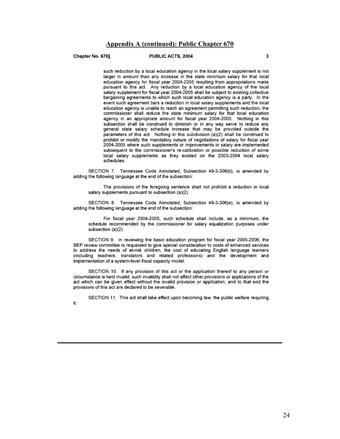#### **Appendix A (continued): Public Chapter 670**

Chapter No. 6701

#### PUBLIC ACTS, 2004

such reduction by a local education agency in the local salary supplement is not larger in amount than any increase in the state minimum salary for that local education agency for fiscal year 2004-2005 resulting from appropriations made pursuant to this act. Any reduction by a local education agency of the local salary supplement for fiscal year 2004-2005 shall be subject to existing collective bargaining agreements to which such local education agency is a party. In the event such agreement bars a reduction in local salary supplements and the local education agency is unable to reach an agreement permitting such reduction, the commissioner shall reduce the state minimum salary for that local education agency in an appropriate amount for fiscal year 2004-2005. Nothing in this subsection shall be construed to diminish or in any way serve to reduce any general state salary schedule increase that may be provided outside the parameters of this act. Nothing in this subdivision (a)(2) shall be construed to prohibit or modify the mandatory nature of negotiations of salary for fiscal year 2004-2005 where such supplements or improvements in salary are implemented subsequent to the commissioner's re-calibration or possible reduction of some local salary supplements as they existed on the 2003-2004 local salary schedules

SECTION 7. Tennessee Code Annotated, Subsection 49-3-306(b), is amended by adding the following language at the end of the subsection:

The provisions of the foregoing sentence shall not prohibit a reduction in local salary supplements pursuant to subsection (a)(2).

SECTION 8. Tennessee Code Annotated, Subsection 49-3-306(e), is amended by adding the following language at the end of the subsection:

For fiscal year 2004-2005, such schedule shall include, as a minimum, the schedule recommended by the commissioner for salary equalization purposes under subsection (a)(2).

SECTION 9. In reviewing the basic education program for fiscal year 2005-2006, the BEP review committee is requested to give special consideration to costs of enhanced services to address the needs of at-risk children, the cost of educating English language learners (including teachers, translators and related professions) and the development and implementation of a system-level fiscal capacity model.

SECTION 10. If any provision of this act or the application thereof to any person or circumstance is held invalid, such invalidity shall not affect other provisions or applications of the act which can be given effect without the invalid provision or application, and to that end the provisions of this act are declared to be severable.

SECTION 11. This act shall take effect upon becoming law, the public welfare requiring

it.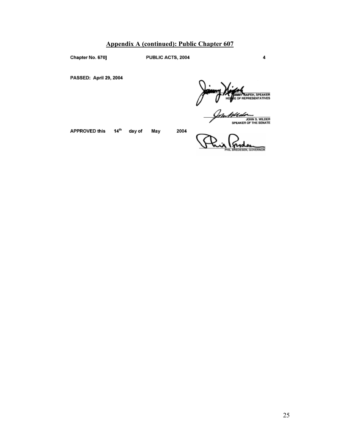#### **Appendix A (continued): Public Chapter 607**

Chapter No. 670]

PUBLIC ACTS, 2004

PASSED: April 29, 2004

**MMY NAIFEH, SPEAKER**<br>: OF REPRESENTATIVES

<u>Im Killedø</u> JOHN S. WILDER

4

APPROVED this

day of May

 $14<sup>th</sup>$ 

EDESEN, GOVERNOR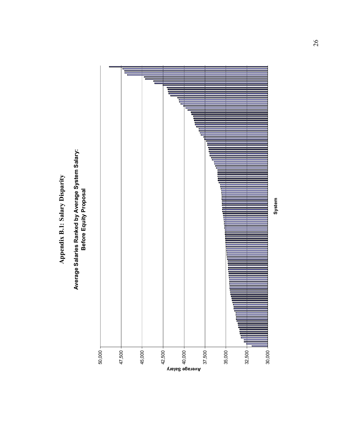Appendix B.1: Salary Disparity **Appendix B.1: Salary Disparity** 

Average Salaries Ranked by Average System Salary:<br>Before Equity Proposal **Average Salaries Ranked by Average System Salary: Before Equity Proposal**

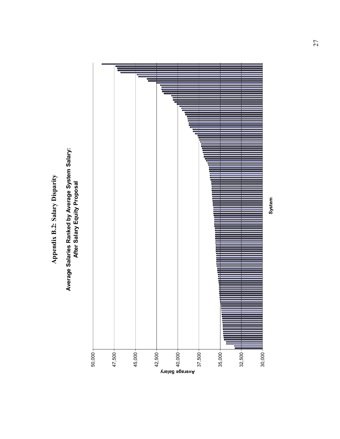Appendix B.2: Salary Disparity **Appendix B.2: Salary Disparity** 

## Average Salaries Ranked by Average System Salary:<br>After Salary Equity Proposal **Average Salaries Ranked by Average System Salary: After Salary Equity Proposal**

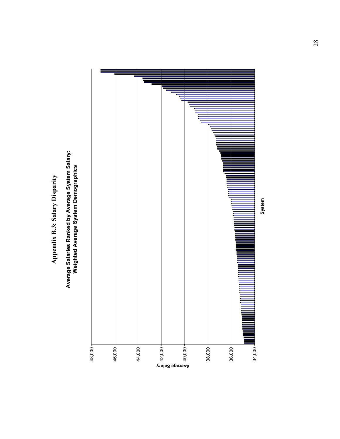Appendix B.3: Salary Disparity **Appendix B.3: Salary Disparity** 

## Average Salaries Ranked by Average System Salary:<br>Weighted Average System Demographics **Average Salaries Ranked by Average System Salary: Weighted Average System Demographics**

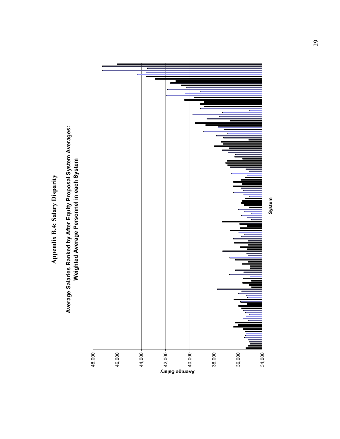**Appendix B.4: Salary Disparity**  Appendix B.4: Salary Disparity

# Average Salaries Ranked by After Equity Proposal System Averages:<br>Weighted Average Personnel in each System **Average Salaries Ranked by After Equity Proposal System Averages: Weighted Average Personnel in each System**

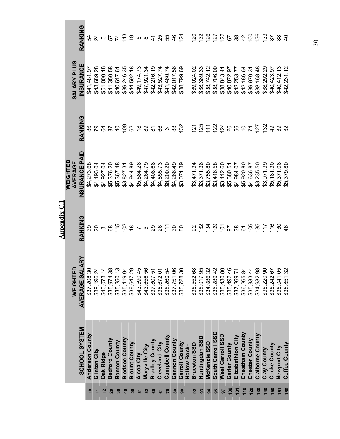|            |                         |                                       | Appendix $C.1$                    |                                                                              |                              |                                        |                                                                       |
|------------|-------------------------|---------------------------------------|-----------------------------------|------------------------------------------------------------------------------|------------------------------|----------------------------------------|-----------------------------------------------------------------------|
|            | SCHOOL SYSTEM           | ARY<br>WEIGHTED<br><b>AVERAGE SAL</b> | RANKING                           | NSURANCE PAID<br><b>WEIGHTED</b><br>AVERAGE                                  | RANKING                      | <b>SALARY PLUS</b><br><b>INSURANCE</b> | RANKING                                                               |
|            | Anderson County         | \$37,208.30                           |                                   | \$4,273.68                                                                   |                              | \$41,481.97                            |                                                                       |
|            | Clinton City            | \$39,196.24                           | 羽刃380代似B752815.38 80亿以印印88600万亿亿的 | \$4,493.04                                                                   | នសម្រុង មិនសូទ្រ និង នូវ     | \$43,689.28                            | ង វរ ៰ ] វេ ដូ ត ៰ ៰ ៎ ឌ ឌ ឌ ឨ ឨ ឨ ឨ ឆ្ងៃ ភ្ជ ភ្ជ ន ង ទ ន ឆ្ន ឌ ឌ ឌ ៩ |
|            | <b>Oak Ridge</b>        | \$46,073.14                           |                                   | \$4,927.04                                                                   |                              | \$51,000.18                            |                                                                       |
|            | <b>Bedford County</b>   | \$35,974.38                           |                                   | \$5,376.20                                                                   |                              | \$41,350.58                            |                                                                       |
|            | <b>Benton County</b>    | \$35,250.13                           |                                   | \$5,367.48                                                                   |                              | \$40,617.6                             |                                                                       |
| ទ          | <b>Bledsoe County</b>   | \$35,419.04                           |                                   | \$3,827.31                                                                   |                              | \$39,246.35                            |                                                                       |
| ន          | <b>Blount County</b>    | \$39,647.29                           |                                   | \$4,944.89                                                                   |                              | \$44,592.18                            |                                                                       |
| 忘          | Alcoa City              | \$43,590.45                           |                                   | \$5,584.28                                                                   |                              | \$49,174.73                            |                                                                       |
| 52         | Maryville City          | \$43,656.56                           |                                   | \$4,264.79                                                                   |                              | \$47,921.34                            |                                                                       |
| ဒေ         | <b>Bradley County</b>   | \$37,807.51                           |                                   | \$4,408.68                                                                   |                              | \$42,216.19                            |                                                                       |
| ৯          | Cleveland City          | \$38,672.01                           |                                   | \$4,855.73                                                                   |                              | \$43,527.74                            |                                                                       |
|            | Campbell County         | \$35,260.54                           |                                   | \$6,200.20                                                                   |                              | \$41,460.74                            |                                                                       |
| <u>ន</u>   | Cannon County           | \$37,751.06                           |                                   | \$4,266.49                                                                   |                              | \$42,017.56                            |                                                                       |
| 8          | Carroll County          | \$35,728.30                           |                                   | \$3,071.39                                                                   |                              | \$38,799.69                            |                                                                       |
|            | Hollow Rock-            |                                       |                                   |                                                                              |                              |                                        |                                                                       |
|            | <b>Bruceton SSD</b>     | \$35,552.68                           |                                   | $\begin{array}{c} $3,471.34\\ $3,371.38\\ $3,755.80\\ $3,416.58 \end{array}$ |                              | \$39,024.02                            |                                                                       |
| 33         | Huntingdon SSI          | \$35,017.95                           |                                   |                                                                              |                              | \$38,389.33                            |                                                                       |
| 24         | McKenzie SSD            | \$34,986.32                           |                                   |                                                                              |                              | \$38,742.12                            |                                                                       |
|            | South Carroll SSD       | \$35,289.42                           |                                   |                                                                              |                              | \$38,706.00                            |                                                                       |
|            | West Carroll SSD        | \$35,430.80                           |                                   | $$3,412.60$<br>$$5,380.51$<br>$$4,984.07$<br>$$5,920.80$                     | <u>ក្ដដូក ដូង មិន ក្ដដូង</u> | \$38,843.41                            |                                                                       |
| ៓          | <b>Carter County</b>    | \$35,492.46                           |                                   |                                                                              |                              | \$40,872.97                            |                                                                       |
| Ξ          | Elizabethton City       | \$37,269.71                           |                                   |                                                                              |                              | \$42,253.77                            |                                                                       |
|            | Cheatham County         | \$36,265.84                           |                                   |                                                                              |                              | \$42,186.64                            |                                                                       |
| <b>120</b> | Chester County          | \$35,333.44                           |                                   | $\begin{array}{l} $4,636.87\\ $3,235.50\\ $3,071.39\\ $5,181.30 \end{array}$ |                              | \$39,970.31                            |                                                                       |
| <b>130</b> | <b>Claiborne County</b> | \$34,932.98                           |                                   |                                                                              |                              | \$38,168.48                            |                                                                       |
| 140        | Clay County             | \$35,220.90                           |                                   |                                                                              |                              | \$38,292.29                            |                                                                       |
| 150        | Cocke County            | \$35,242.67                           |                                   |                                                                              | $\frac{5}{4}$                | \$40,423.97                            |                                                                       |
| 151        | Newport City            | \$35,041.05                           |                                   | \$5,371.08                                                                   | 88                           | \$40,412.13                            |                                                                       |
| 160        | Coffee County           | \$36,851.32                           | $\frac{6}{5}$                     | \$5,379.80                                                                   |                              | \$42,231.12                            |                                                                       |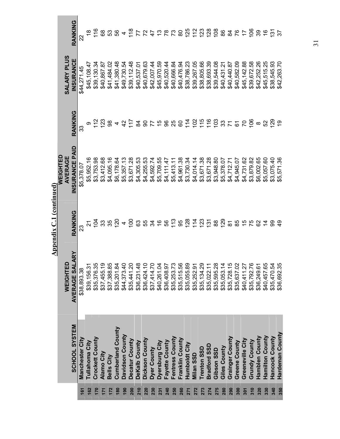|     |                          |                            | <b>Appendix C.1 (continued)</b> |                                        |                                                       |                                           |                                             |
|-----|--------------------------|----------------------------|---------------------------------|----------------------------------------|-------------------------------------------------------|-------------------------------------------|---------------------------------------------|
|     |                          | WEIGHTED                   |                                 | VEIGHTED<br>AVERAGE                    |                                                       | <b>SALARY PLUS</b>                        |                                             |
|     | <b>SCHOOL SYSTEM</b>     | ARY<br>AVERAGE SAL         | RANKING                         | PAID<br><b>NSURANCE</b>                | RANKING                                               | <b>INSURANCE</b>                          | RANKING                                     |
| 161 | <b>Manchester City</b>   | \$38,893.38                |                                 | \$5,378.07                             | ౢ                                                     | \$44,271.45                               |                                             |
| 162 | Tullahoma City           | \$39,156.31                |                                 | \$5,952.16                             |                                                       | \$45,108.47                               |                                             |
| 170 | Crockett County          | \$35,376.35                |                                 | \$3,753.98                             |                                                       | \$39,130.34                               |                                             |
| 171 | <b>Alamo City</b>        | \$37,455.19<br>\$37,388.85 |                                 | \$3,412.68                             | $\frac{5}{2}$ $\frac{2}{2}$                           | \$40,867.87                               | 680                                         |
| 172 | <b>Bells City</b>        |                            |                                 | \$4,095.16                             | 8 4 3 什 3 9 7 4 8 8 9 年 2 作 1 5 9 8 7 6 7 8 9 8 9 2 9 | \$41,484.02                               | 53<br>56                                    |
| 180 | <b>Cumberland County</b> | \$35,201.84                |                                 | \$6,178.64                             |                                                       | \$41,380.48                               |                                             |
| 190 | Davidson County          | \$44,373.40                |                                 | \$5,357.13                             |                                                       | \$49,730.54                               |                                             |
| 200 | Decatur County           | \$35,441.20                |                                 | \$3,671.28                             |                                                       | \$39,112.48                               |                                             |
| 210 | DeKalb County            | \$36,231.48                |                                 | \$4,305.53                             |                                                       | \$40,537.0                                |                                             |
| 220 | Dickson County           | \$36,424.10                |                                 | \$4,255.53                             |                                                       | \$40,679.63                               |                                             |
| 230 | Dyer County              | \$37,414.70                |                                 | \$4,592.74<br>\$5,709.55               |                                                       | \$42,007.44                               |                                             |
| 231 | Dyersburg City           | \$40,261.04                |                                 |                                        |                                                       | \$45,970.59                               |                                             |
| 240 | Fayette County           | \$36,408.97                |                                 |                                        |                                                       | \$40,520.44                               |                                             |
| 250 | Fentress County          | \$35,253.73                |                                 | \$4,111.47<br>\$5,413.11               |                                                       | \$40,666.84                               |                                             |
| 260 | Franklin County          | \$35,515.56                |                                 |                                        |                                                       | \$40,476.94<br>\$38,786.23                |                                             |
| 271 | <b>Humboldt City</b>     | \$35,055.89                |                                 |                                        |                                                       |                                           |                                             |
| 272 | Milan SSD                | \$35,252.91                |                                 |                                        |                                                       | \$39,267.05                               |                                             |
| 273 | Trenton SSD              | \$35,134.29                |                                 |                                        |                                                       | \$38,805.66<br>\$38,693.39<br>\$39,544.08 | 4 1 2 2 2 3 2 2 3 2 3 3 3 4 5 6 7 6 9 7 6 7 |
| 274 | Bradford SSD             | \$35,022.11                |                                 |                                        |                                                       |                                           |                                             |
| 275 | Gibson SSD               | \$35,595.28                |                                 |                                        |                                                       |                                           |                                             |
| 280 | Giles County             | \$35,053.14                |                                 |                                        |                                                       | \$40,431.2                                |                                             |
| 290 | <b>Grainger County</b>   | \$35,728.15                |                                 |                                        |                                                       | \$40,440.87                               |                                             |
| 300 | Greene County            | \$35,637.02                |                                 | \$4,945.07                             |                                                       | \$40,582.09                               |                                             |
| 301 | Greeneville City         | \$40,411.27                |                                 | \$4,731.62                             |                                                       | \$45, 142.88                              |                                             |
| 310 | Grundy County            | \$35,792.76                |                                 | \$3,879.82<br>\$6,002.65<br>\$5,057.60 |                                                       | \$39,672.58                               |                                             |
| 320 | Hamblen County           | \$36,249.61                |                                 |                                        |                                                       | \$42,252.26                               |                                             |
| 330 | <b>Hamilton County</b>   | \$40,457.65                |                                 |                                        |                                                       | \$45,515.25                               |                                             |
| 340 | Hancock County           | \$35,470.54                |                                 | \$3,075.40                             |                                                       | \$38,545.93                               |                                             |
| 350 | Hardeman County          | \$36,692.35                |                                 | \$5,571.36                             |                                                       | \$42,263.70                               | 57                                          |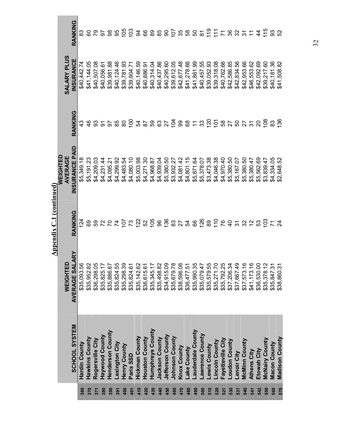|                 |                       |                                | <b>Appendix C.1 (continued)</b> |                          |         |                                                                                                                   |         |
|-----------------|-----------------------|--------------------------------|---------------------------------|--------------------------|---------|-------------------------------------------------------------------------------------------------------------------|---------|
|                 |                       |                                |                                 | <b>VEIGHTED</b>          |         |                                                                                                                   |         |
|                 | SCHOOL SYSTEM         | ARY<br>WEIGHTED<br>AVERAGE SAL | RANKING                         | AVERAGE<br>NSURANCE      | RANKING | <b>SALARY PLUS</b><br><b>NSURANCE</b>                                                                             | RANKING |
| 360             | Hardin County         | \$35,093.56                    | <u>थ</u>                        | \$5,349.18               |         | \$40,442.74                                                                                                       |         |
| 370             | Hawkins County        | \$35,952.82                    |                                 |                          |         | \$41,144.05                                                                                                       |         |
| 371             | Rogersville City      | \$36,298.05                    |                                 | \$5,191.23<br>\$4,209.03 |         | \$40,507.                                                                                                         |         |
| 380             | Haywood County        | \$35,825.17                    |                                 | \$4,231.44               |         | \$40,056.61                                                                                                       |         |
| 390             | Henderson County      | \$35,886.67                    |                                 |                          |         | \$39,981.88                                                                                                       |         |
| 391             | -exington City        | \$35,824.55                    |                                 |                          |         | \$40,124.46                                                                                                       |         |
| 400             | Henry County          | \$35,298.39                    |                                 |                          |         | \$39,781.93<br>\$39,904.71<br>\$40,146.59                                                                         |         |
| $\frac{401}{5}$ | Paris SSD             | \$35,824.61                    |                                 |                          |         |                                                                                                                   |         |
| 410             | <b>Hickman County</b> | \$35,142.62                    |                                 |                          |         |                                                                                                                   |         |
| 420             | Houston County        | \$36,615.61                    |                                 |                          |         | \$40,886.91<br>\$40,314.04<br>\$40,437.86                                                                         |         |
| 430             | Humphreys County      | \$35,345.17                    |                                 |                          |         |                                                                                                                   |         |
| 440             | Jackson County        | \$35,498.82                    |                                 |                          |         |                                                                                                                   |         |
| 450             | Jefferson County      | \$34,915.09                    |                                 |                          |         |                                                                                                                   |         |
| 460             | <b>Johnson County</b> | \$35,679.78                    |                                 |                          |         | \$40,295.60<br>\$39,612.05<br>\$39,677.48<br>\$41,278.69<br>\$41,861.952.93<br>\$40,457.533,318.08<br>\$39,318.08 |         |
| 470             | Knox County           | \$38,596.06                    |                                 |                          |         |                                                                                                                   |         |
| 480             | ake County            | \$36,477.51                    |                                 |                          |         |                                                                                                                   |         |
| 490             | auderdale County-     | \$35,990.35                    |                                 |                          |         |                                                                                                                   |         |
| 500             | -awrence County       | \$35,079.47                    |                                 |                          |         |                                                                                                                   |         |
| 510             | -ewis County          | \$35,579.55                    |                                 |                          |         |                                                                                                                   |         |
| 520             | Lincoln County        | \$35,271.70<br>\$35,792.25     |                                 |                          |         |                                                                                                                   |         |
| 521             | Fayetteville City     |                                |                                 |                          |         | \$40,762.66<br>\$42,586.85<br>\$42,834.56                                                                         |         |
| 530             | oudon County          | \$37,206.34                    |                                 |                          |         |                                                                                                                   |         |
| 531             | Lenoir City           | \$37,667.49                    |                                 |                          |         |                                                                                                                   |         |
| 540             | McMinn County         | \$37,573.16                    |                                 |                          |         | \$42,953.66                                                                                                       |         |
| 541             | <b>Athens City</b>    | \$41,173.16                    |                                 |                          |         | \$46,553.62                                                                                                       |         |
| 542             | Etowah City           | \$36,530.00                    |                                 |                          |         |                                                                                                                   |         |
| 550             | <b>McNairy County</b> | \$35,378.12                    |                                 |                          |         | \$42,092.69<br>\$39,217.60                                                                                        |         |
| 560             | <b>Macon County</b>   | \$35,847.31                    |                                 | \$4,334.05               |         | \$40,181.36                                                                                                       |         |
| 570             | <b>Madison County</b> | \$38,860.31                    |                                 | \$2,648.52               |         | \$41,508.82                                                                                                       |         |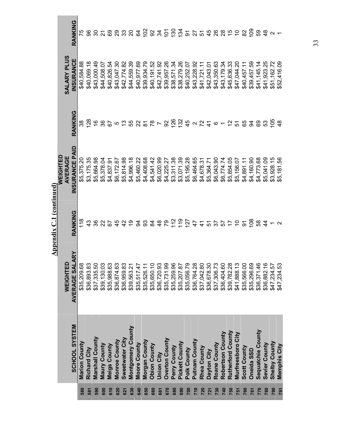|            |                          |                                              | <b>Appendix C.1 (continued)</b> |                                           |                                                                |                                                          |                                                      |
|------------|--------------------------|----------------------------------------------|---------------------------------|-------------------------------------------|----------------------------------------------------------------|----------------------------------------------------------|------------------------------------------------------|
|            |                          |                                              |                                 | VEIGHTED                                  |                                                                |                                                          |                                                      |
|            | SCHOOL SYSTEM            | ARY<br><b>WEIGHTED</b><br><b>AVERAGE SAL</b> | RANKING                         | PAID<br><b>AVERAGE</b><br><b>NSURANCE</b> | RANKING                                                        | <b>SALARY PLUS</b><br><b>INSURANCE</b>                   | RANKING                                              |
| 580        | <b>Marion County</b>     | \$35,209.68                                  | 118                             | \$5,375.20                                |                                                                | \$40,584.88                                              |                                                      |
| 581        | <b>Richard City</b>      | \$36,893.83                                  |                                 | \$3,175.35                                | $\frac{8}{2}$                                                  | \$40,069.18                                              |                                                      |
| 590        | <b>Marshall County</b>   | \$37,335.50                                  |                                 | \$5,664.98                                |                                                                | \$43,000.49                                              |                                                      |
| 600        | Maury County             | \$39,130.03<br>\$35,988.63                   |                                 | \$5,378.04                                |                                                                | \$44,508.07                                              |                                                      |
| 610        | <b>Meigs County</b>      |                                              |                                 | \$4,837.91                                |                                                                | \$40,826.54                                              |                                                      |
| 620        | <b>Monroe County</b>     | \$36,874.63                                  |                                 |                                           |                                                                | \$43,047.30                                              |                                                      |
| 621        | Sweetwater City          | \$36,959.83                                  |                                 | \$6,172.67<br>\$5,814.98                  |                                                                | \$42,774.82<br>\$44,559.39                               |                                                      |
| 630        | Montgomery County        | \$39,563.21                                  |                                 | \$4,996.18                                |                                                                |                                                          |                                                      |
| 640        | Moore County             | \$35,517.47                                  |                                 |                                           |                                                                | \$40,977.69                                              |                                                      |
| 650        | Morgan County            | \$35,526.11                                  |                                 |                                           |                                                                | \$39,934.79<br>\$40,191.52<br>\$42,741.92                |                                                      |
| 660        | <b>Obion County</b>      | \$35,650.10                                  |                                 |                                           |                                                                |                                                          |                                                      |
| 661        | <b>Union City</b>        | \$36,720.93                                  |                                 |                                           |                                                                |                                                          |                                                      |
| 670        | <b>Overton County</b>    | \$35,731.99                                  |                                 |                                           |                                                                |                                                          |                                                      |
| 680        | Perry County             | \$35,259.96                                  |                                 |                                           |                                                                | \$39,957.26<br>\$38,571.34<br>\$38,279.26<br>\$40,252.07 |                                                      |
| 690        | Pickett County           | \$35,207.87                                  |                                 |                                           |                                                                |                                                          |                                                      |
| 700        | Polk County              | \$35,056.79                                  |                                 |                                           |                                                                |                                                          |                                                      |
| 710        | Putnam County            | \$36,764.28                                  |                                 |                                           |                                                                | \$43,228.92                                              |                                                      |
| 720        | Rhea County              | \$37,042.80                                  | 3.892593533395555777529555837   |                                           | 19 3 6 5 5 6 5 6 7 8 7 8 7 8 7 8 7 8 7 8 7 8 7 8 7 8 8 8 7 8 9 | \$41,721.11<br>\$42,043.01                               |                                                      |
| 721        | Dayton City              | \$36,678.30                                  |                                 |                                           |                                                                |                                                          |                                                      |
| 730        | <b>Roane County</b>      | \$37,306.73                                  |                                 |                                           |                                                                | \$43,350.63                                              |                                                      |
| 740        | Robertson County         | \$36,404.60                                  |                                 |                                           |                                                                | \$43,179.34                                              |                                                      |
| 750        | <b>Rutherford County</b> | \$39,782.28                                  |                                 |                                           |                                                                | \$45,636.33                                              |                                                      |
| 751        | Murfreesboro City        | \$41,888.13                                  |                                 |                                           |                                                                | \$47,044.20                                              |                                                      |
| 760        | Scott County             | \$35,566.00                                  |                                 |                                           |                                                                | \$40,457.11                                              |                                                      |
| 761        | Oneida SSD               | \$35,296.69                                  |                                 | \$4,160.90<br>\$4,773.68                  |                                                                | \$39,457.59                                              |                                                      |
| 770        | <b>Sequatchie County</b> | \$36,371.46                                  |                                 |                                           |                                                                | \$41,145.14                                              |                                                      |
| 780        | Sevier County            | \$36,882.16                                  |                                 | \$5,041.09<br>\$3,928.15                  |                                                                | \$41,923.25                                              |                                                      |
| 790        | <b>Shelby County</b>     | \$47,234.57                                  |                                 |                                           |                                                                | \$51,162.72                                              | $\frac{8}{5}$ $\frac{8}{3}$ $\frac{8}{4}$ $\sim$ $-$ |
| <b>L6Z</b> | Memphis City             | \$47,234.53                                  |                                 | \$5,181.56                                | $\frac{8}{4}$                                                  | \$52,416.09                                              |                                                      |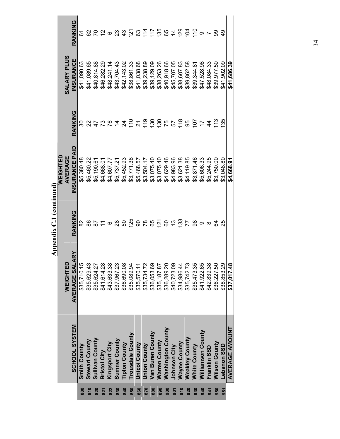|     |                          |                                           | Appendix C.1 (continued)  |                                        |                   |                    |                        |
|-----|--------------------------|-------------------------------------------|---------------------------|----------------------------------------|-------------------|--------------------|------------------------|
|     |                          | WEIGHTED                                  |                           | <b>NEIGHTED</b><br>AVERAGE             |                   | <b>SALARY PLUS</b> |                        |
|     | SCHOOL SYSTEM            | AVERAGE SALARY                            | RANKING                   | NSURANCE PAID                          | RANKING           | INSURANCE          | RANKING                |
| 800 | Smith County             | \$35,710.15                               | 82                        | \$5,380.48                             | ౚ                 | \$41,090.63        | <u>ა</u>               |
| 810 | <b>Stewart County</b>    | \$35,629.43                               |                           | \$5,460.22                             |                   | \$41,089.65        |                        |
| 820 | Sullivan County          | \$35,624.27                               |                           | \$5,190.61                             |                   | \$40,814.88        |                        |
| 821 | <b>Bristol City</b>      | \$41,614.28                               | $-288$                    | \$4,668.0                              |                   | \$46,282.29        |                        |
| 822 | Kingsport City           |                                           |                           | \$4,607.7                              | 247742            | \$48,241.14        | 82263328               |
| 830 | <b>Sumner County</b>     | \$43,633.38<br>\$37,967.23                |                           | \$5,737.21                             |                   | \$43,704.43        |                        |
| 840 | <b>Tipton County</b>     | \$36,690.08                               |                           | \$5,452.93                             |                   | \$42,143.02        |                        |
| 850 | Trousdale County         | \$35,089.94                               |                           | \$3,771.38                             |                   | \$38,861.33        |                        |
| 860 | <b>Unicol County</b>     | \$35,570.11                               |                           | \$5,468.57                             | $\frac{5}{5}$ ភ្ន | \$41,038.68        |                        |
| 870 | <b>Union County</b>      | \$35,734.72                               |                           | \$3,504.17                             |                   | \$39,238.89        |                        |
| 880 | Van Buren County         |                                           | <u>នួនក្នុងនស្គាន់ ដូ</u> | \$3,075.40<br>\$3,075.40<br>\$4,629.46 | $\frac{8}{3}$     | \$39,129.09        | 11<br>11<br>13<br>13   |
| 890 | <b>Warren County</b>     | \$36,053.69<br>\$35,187.87<br>\$36,289.20 |                           |                                        | $\frac{8}{3}$     | \$38,263.26        |                        |
| 900 | <b>Washington County</b> |                                           |                           |                                        |                   | \$40,918.66        | 654                    |
| 501 | Johnson City             | \$40,723.09                               |                           | \$4,983.96                             |                   | \$45,707.05        |                        |
| 910 | Wayne County             | \$34,986.44                               |                           | \$3,621.38                             | 58555             | \$38,607.83        | $\frac{8}{2}$          |
| 920 | <b>Weakley County</b>    | \$35,742.73                               |                           | \$4,119.85                             |                   | \$39,862.58        |                        |
| 930 | <b>White County</b>      | \$35,473.35<br>\$41,922.65                | 78                        | \$3,871.46                             |                   | \$39,344.81        | $\frac{1}{2}$          |
| 940 | Williamson County        |                                           | $\infty$                  | \$5,606.33<br>\$5,244.95               | $\overline{1}$    | \$47,528.98        | $\circ$ $\sim$ $\circ$ |
| 941 | Franklin SSD             | \$42,839.38                               |                           |                                        | $\frac{4}{4}$     | \$48,084.33        |                        |
| 950 | Wilson County            | \$36,227.50                               | 24                        | \$3,750.00                             | $\tilde{1}$       | \$39,977.50        |                        |
| 951 | Lebanon SSD              | \$38,853.29                               | 25                        | \$3,048.80                             | $\frac{55}{2}$    | \$41,902.09        |                        |
|     | <b>AVERAGE AMOUNT</b>    | \$37,017.48                               |                           | \$4,668.91                             |                   | \$41,686.39        |                        |
|     |                          |                                           |                           |                                        |                   |                    |                        |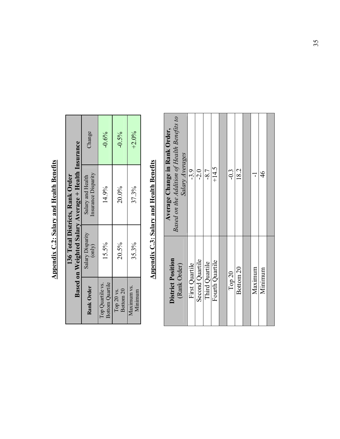|                                 |                                                     | Change                                   | $-0.6%$                             | $-0.5%$                            | $+2.0%$                |
|---------------------------------|-----------------------------------------------------|------------------------------------------|-------------------------------------|------------------------------------|------------------------|
| 136 Total Districts, Rank Order | Based on Weighted Salary Average + Health Insurance | Insurance Disparity<br>Salary and Health | 14.9%                               | 20.0%                              | 37.3%                  |
|                                 |                                                     | Salary Disparity<br>(only)               | 15.5%                               | 20.5%                              | 35.3%                  |
|                                 |                                                     | Rank Order                               | Bottom Quartile<br>Top Quartile vs. | Bottom <sub>20</sub><br>Top 20 vs. | Maximum vs.<br>Minimum |

**Appendix C.2: Salary and Health Benefits Appendix C.2: Salary and Health Benefits**

# **Appendix C.3: Salary and Health Benefits Appendix C.3: Salary and Health Benefits**

| District Position<br>(Rank Order) | Based on the Addition of Health Benefits to<br>Average Change in Rank Order,<br>Salary Averages |
|-----------------------------------|-------------------------------------------------------------------------------------------------|
| First Quartile                    | $-3.9$                                                                                          |
| Second Quartile                   | $-2.0$                                                                                          |
| Third Quartile                    | $-8.7$                                                                                          |
| Fourth Quartile                   | $+14.5$                                                                                         |
|                                   |                                                                                                 |
| Top $20$                          | $-0.3$                                                                                          |
| Bottom <sub>20</sub>              | 18.2                                                                                            |
|                                   |                                                                                                 |
| Maximum                           | ï                                                                                               |
| Minimum                           | $\frac{4}{6}$                                                                                   |
|                                   |                                                                                                 |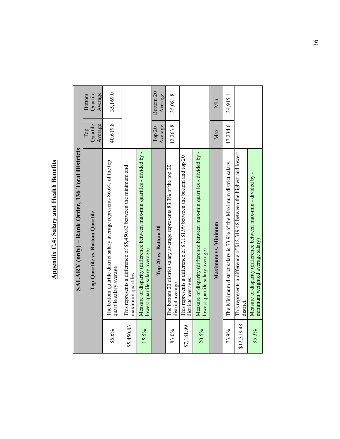# **Appendix C.4: Salary and Health Benefits Appendix C.4: Salary and Health Benefits**

|             | SALARY (only) - Rank Order, 136 Total Districts                                                              |                            |                                      |
|-------------|--------------------------------------------------------------------------------------------------------------|----------------------------|--------------------------------------|
|             | Top Quartile vs. Bottom Quartile                                                                             | Average<br>Quartile<br>Тор | Average<br>Quartile<br><b>Bottom</b> |
| 86.6%       | The bottom quartile district salary average represents 86.6% of the top<br>quartile salary average           | 40,619.8                   | 35,169.0                             |
| \$5,450.83  | This represents a difference of \$5,450.83 between the minimum and<br>maximum quartiles.                     |                            |                                      |
| 15.5%       | Measure of disparity (difference between max-min quartiles - divided by -<br>lowest quartile salary average) |                            |                                      |
|             | Top 20 vs. Bottom 20                                                                                         | Average<br>Top $20$        | Bottom <sub>20</sub><br>Average      |
| 83.0%       | The bottom 20 district salary average represents 83.3% of the top 20<br>district average.                    | 42,263.8                   | 35,081.8                             |
| \$7,181.99  | This represents a difference of \$7,181.99 between the bottom and top 20<br>districts averages.              |                            |                                      |
| 20.5%       | Measure of disparity (difference between max-min quartiles - divided by -<br>lowest quartile salary average) |                            |                                      |
|             | Maximum vs. Minimum                                                                                          | Max                        | Min                                  |
| 73.9%       | The Minimum district salary is 73.9% of the Maximum district salary.                                         | 47,234.6                   | 34,915.1                             |
| \$12,319.48 | This represents a difference of \$12,319.48 between the highest and lowest<br>district.                      |                            |                                      |
| 35.3%       | Measure of disparity (difference between max-min - divided by -<br>minimum weighted average salary)          |                            |                                      |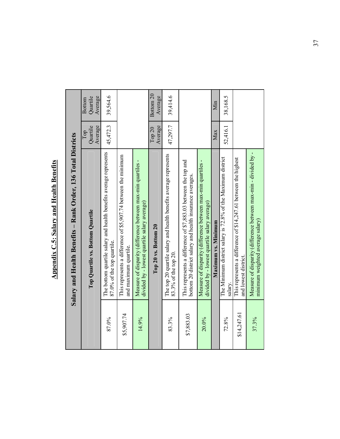|             | Salary and Health Benefits - Rank Order, 136 Total Districts                                                               |                            |                                      |
|-------------|----------------------------------------------------------------------------------------------------------------------------|----------------------------|--------------------------------------|
|             | Top Quartile vs. Bottom Quartile                                                                                           | Average<br>Quartile<br>Тор | Average<br>Quartile<br><b>Bottom</b> |
| 87.0%       | The bottom quartile salary and health benefits average represents<br>87.0% of the top quartile.                            | 45,472.3                   | 39,564.6                             |
| \$5,907.74  | This represents a difference of \$5,907.74 between the minimum<br>and maximum quartile.                                    |                            |                                      |
| 14.9%       | Measure of disparity (difference between max-min quartiles -<br>divided by - lowest quartile salary average)               |                            |                                      |
|             | Top 20 vs. Bottom 20                                                                                                       | Average<br>Top 20          | Bottom <sub>20</sub><br>Average      |
| 83.3%       | The top 20 quartile salary and health benefits average represents<br>83.3% of the top 20.                                  | 47,297.7                   | 39,414.6                             |
| \$7,883.03  | This represents a difference of \$7,883.03 between the top and<br>bottom 20 district salary and health insurance averages. |                            |                                      |
| 20.0%       | Measure of disparity (difference between max-min quartiles -<br>divided by - lowest quartile salary average)               |                            |                                      |
|             | Maximum vs. Minimum                                                                                                        | Max                        | Min                                  |
| 72.8%       | The Minimum district salary is 72.8% of the Maximum district<br>salary.                                                    | 52,416.1                   | 38,168.5                             |
| \$14,247.61 | This represents a difference of \$14,247.61 between the highest<br>and lowest district.                                    |                            |                                      |
| 37.3%       | Measure of disparity (difference between max-min - divided by -<br>minimum weighted average salary)                        |                            |                                      |

**Appendix C.5: Salary and Health Benefits Appendix C.5: Salary and Health Benefits**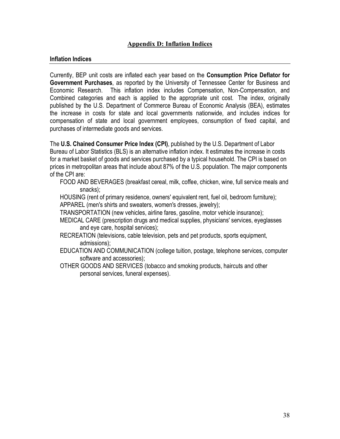#### **Appendix D: Inflation Indices**

#### **Inflation Indices**

Currently, BEP unit costs are inflated each year based on the **Consumption Price Deflator for Government Purchases**, as reported by the University of Tennessee Center for Business and Economic Research. This inflation index includes Compensation, Non-Compensation, and Combined categories and each is applied to the appropriate unit cost. The index, originally published by the U.S. Department of Commerce Bureau of Economic Analysis (BEA), estimates the increase in costs for state and local governments nationwide, and includes indices for compensation of state and local government employees, consumption of fixed capital, and purchases of intermediate goods and services.

The **U.S. Chained Consumer Price Index (CPI)**, published by the U.S. Department of Labor Bureau of Labor Statistics (BLS) is an alternative inflation index. It estimates the increase in costs for a market basket of goods and services purchased by a typical household. The CPI is based on prices in metropolitan areas that include about 87% of the U.S. population. The major components of the CPI are:

FOOD AND BEVERAGES (breakfast cereal, milk, coffee, chicken, wine, full service meals and snacks);

HOUSING (rent of primary residence, owners' equivalent rent, fuel oil, bedroom furniture); APPAREL (men's shirts and sweaters, women's dresses, jewelry);

TRANSPORTATION (new vehicles, airline fares, gasoline, motor vehicle insurance);

- MEDICAL CARE (prescription drugs and medical supplies, physicians' services, eyeglasses and eye care, hospital services);
- RECREATION (televisions, cable television, pets and pet products, sports equipment, admissions);
- EDUCATION AND COMMUNICATION (college tuition, postage, telephone services, computer software and accessories);
- OTHER GOODS AND SERVICES (tobacco and smoking products, haircuts and other personal services, funeral expenses).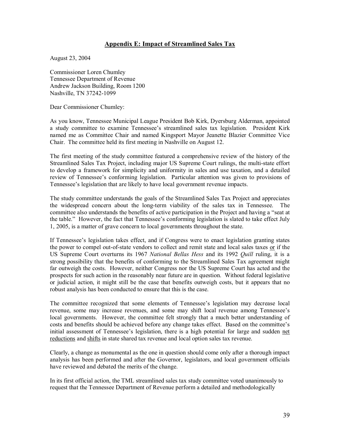#### **Appendix E: Impact of Streamlined Sales Tax**

August 23, 2004

Commissioner Loren Chumley Tennessee Department of Revenue Andrew Jackson Building, Room 1200 Nashville, TN 37242-1099

Dear Commissioner Chumley:

As you know, Tennessee Municipal League President Bob Kirk, Dyersburg Alderman, appointed a study committee to examine Tennessee's streamlined sales tax legislation. President Kirk named me as Committee Chair and named Kingsport Mayor Jeanette Blazier Committee Vice Chair. The committee held its first meeting in Nashville on August 12.

The first meeting of the study committee featured a comprehensive review of the history of the Streamlined Sales Tax Project, including major US Supreme Court rulings, the multi-state effort to develop a framework for simplicity and uniformity in sales and use taxation, and a detailed review of Tennessee's conforming legislation. Particular attention was given to provisions of Tennessee's legislation that are likely to have local government revenue impacts.

The study committee understands the goals of the Streamlined Sales Tax Project and appreciates the widespread concern about the long-term viability of the sales tax in Tennessee. The committee also understands the benefits of active participation in the Project and having a "seat at the table." However, the fact that Tennessee's conforming legislation is slated to take effect July 1, 2005, is a matter of grave concern to local governments throughout the state.

If Tennessee's legislation takes effect, and if Congress were to enact legislation granting states the power to compel out-of-state vendors to collect and remit state and local sales taxes or if the US Supreme Court overturns its 1967 *National Bellas Hess* and its 1992 *Quill* ruling, it is a strong possibility that the benefits of conforming to the Streamlined Sales Tax agreement might far outweigh the costs. However, neither Congress nor the US Supreme Court has acted and the prospects for such action in the reasonably near future are in question. Without federal legislative or judicial action, it might still be the case that benefits outweigh costs, but it appears that no robust analysis has been conducted to ensure that this is the case.

The committee recognized that some elements of Tennessee's legislation may decrease local revenue, some may increase revenues, and some may shift local revenue among Tennessee's local governments. However, the committee felt strongly that a much better understanding of costs and benefits should be achieved before any change takes effect. Based on the committee's initial assessment of Tennessee's legislation, there is a high potential for large and sudden net reductions and shifts in state shared tax revenue and local option sales tax revenue.

Clearly, a change as monumental as the one in question should come only after a thorough impact analysis has been performed and after the Governor, legislators, and local government officials have reviewed and debated the merits of the change.

In its first official action, the TML streamlined sales tax study committee voted unanimously to request that the Tennessee Department of Revenue perform a detailed and methodologically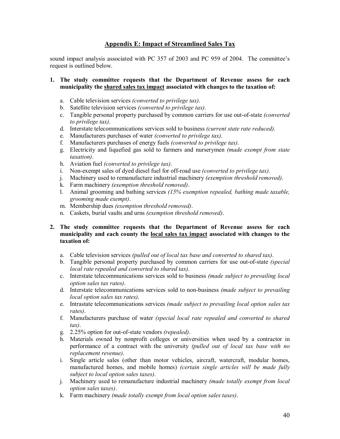#### **Appendix E: Impact of Streamlined Sales Tax**

sound impact analysis associated with PC 357 of 2003 and PC 959 of 2004. The committee's request is outlined below.

#### **1. The study committee requests that the Department of Revenue assess for each municipality the shared sales tax impact associated with changes to the taxation of:**

- a. Cable television services *(converted to privilege tax)*.
- b. Satellite television services *(converted to privilege tax)*.
- c. Tangible personal property purchased by common carriers for use out-of-state *(converted to privilege tax)*.
- d. Interstate telecommunications services sold to business *(current state rate reduced)*.
- e. Manufacturers purchases of water *(converted to privilege tax)*.
- f. Manufacturers purchases of energy fuels *(converted to privilege tax)*.
- g. Electricity and liquefied gas sold to farmers and nurserymen *(made exempt from state taxation)*.
- h. Aviation fuel *(converted to privilege tax)*.
- i. Non-exempt sales of dyed diesel fuel for off-road use *(converted to privilege tax)*.
- j. Machinery used to remanufacture industrial machinery *(exemption threshold removed)*.
- k. Farm machinery *(exemption threshold removed)*.
- l. Animal grooming and bathing services *(15% exemption repealed, bathing made taxable, grooming made exempt)*.
- m. Membership dues *(exemption threshold removed)*.
- n. Caskets, burial vaults and urns *(exemption threshold removed)*.

#### **2. The study committee requests that the Department of Revenue assess for each municipality and each county the local sales tax impact associated with changes to the taxation of:**

- a. Cable television services *(pulled out of local tax base and converted to shared tax)*.
- b. Tangible personal property purchased by common carriers for use out-of-state *(special local rate repealed and converted to shared tax)*.
- c. Interstate telecommunications services sold to business *(made subject to prevailing local option sales tax rates)*.
- d. Interstate telecommunications services sold to non-business *(made subject to prevailing local option sales tax rates)*.
- e. Intrastate telecommunications services *(made subject to prevailing local option sales tax rates)*.
- f. Manufacturers purchase of water *(special local rate repealed and converted to shared tax)*.
- g. 2.25% option for out-of-state vendors *(repealed)*.
- h. Materials owned by nonprofit colleges or universities when used by a contractor in performance of a contract with the university *(pulled out of local tax base with no replacement revenue)*.
- i. Single article sales (other than motor vehicles, aircraft, watercraft, modular homes, manufactured homes, and mobile homes) *(certain single articles will be made fully subject to local option sales taxes)*.
- j. Machinery used to remanufacture industrial machinery *(made totally exempt from local option sales taxes)*.
- k. Farm machinery *(made totally exempt from local option sales taxes)*.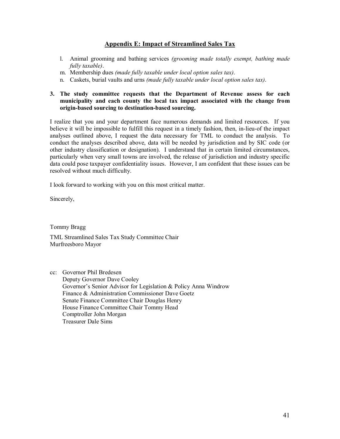#### **Appendix E: Impact of Streamlined Sales Tax**

- l. Animal grooming and bathing services *(grooming made totally exempt, bathing made fully taxable)*.
- m. Membership dues *(made fully taxable under local option sales tax)*.
- n. Caskets, burial vaults and urns *(made fully taxable under local option sales tax)*.

#### **3. The study committee requests that the Department of Revenue assess for each municipality and each county the local tax impact associated with the change from origin-based sourcing to destination-based sourcing.**

I realize that you and your department face numerous demands and limited resources. If you believe it will be impossible to fulfill this request in a timely fashion, then, in-lieu-of the impact analyses outlined above, I request the data necessary for TML to conduct the analysis. To conduct the analyses described above, data will be needed by jurisdiction and by SIC code (or other industry classification or designation). I understand that in certain limited circumstances, particularly when very small towns are involved, the release of jurisdiction and industry specific data could pose taxpayer confidentiality issues. However, I am confident that these issues can be resolved without much difficulty.

I look forward to working with you on this most critical matter.

Sincerely,

Tommy Bragg

TML Streamlined Sales Tax Study Committee Chair Murfreesboro Mayor

cc: Governor Phil Bredesen Deputy Governor Dave Cooley Governor's Senior Advisor for Legislation & Policy Anna Windrow Finance & Administration Commissioner Dave Goetz Senate Finance Committee Chair Douglas Henry House Finance Committee Chair Tommy Head Comptroller John Morgan Treasurer Dale Sims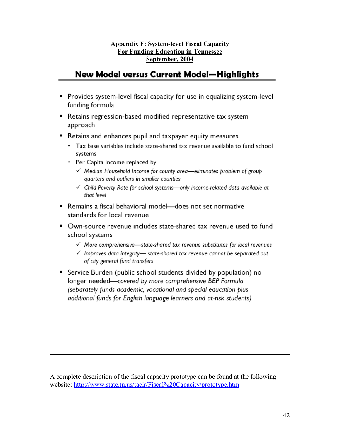#### **Appendix F: System-level Fiscal Capacity For Funding Education in Tennessee September, 2004**

### **New Model versus Current Model-Highlights**

- Provides system-level fiscal capacity for use in equalizing system-level funding formula
- Retains regression-based modified representative tax system approach
- Retains and enhances pupil and taxpayer equity measures
	- \* Tax base variables include state-shared tax revenue available to fund school systems
	- \* Per Capita Income replaced by
		- √ Median Household Income for county area-eliminates problem of group quarters and outliers in smaller counties
		- ✓ Child Poverty Rate for school systems-only income-related data available at that level
- Remains a fiscal behavioral model—does not set normative standards for local revenue
- Own-source revenue includes state-shared tax revenue used to fund school systems
	- $\checkmark$  More comprehensive-state-shared tax revenue substitutes for local revenues
	- $\checkmark$  Improves data integrity— state-shared tax revenue cannot be separated out of city general fund transfers
- Service Burden (public school students divided by population) no longer needed-covered by more comprehensive BEP Formula (separately funds academic, vocational and special education plus additional funds for English language learners and at-risk students)

A complete description of the fiscal capacity prototype can be found at the following website: http://www.state.tn.us/tacir/Fiscal%20Capacity/prototype.htm